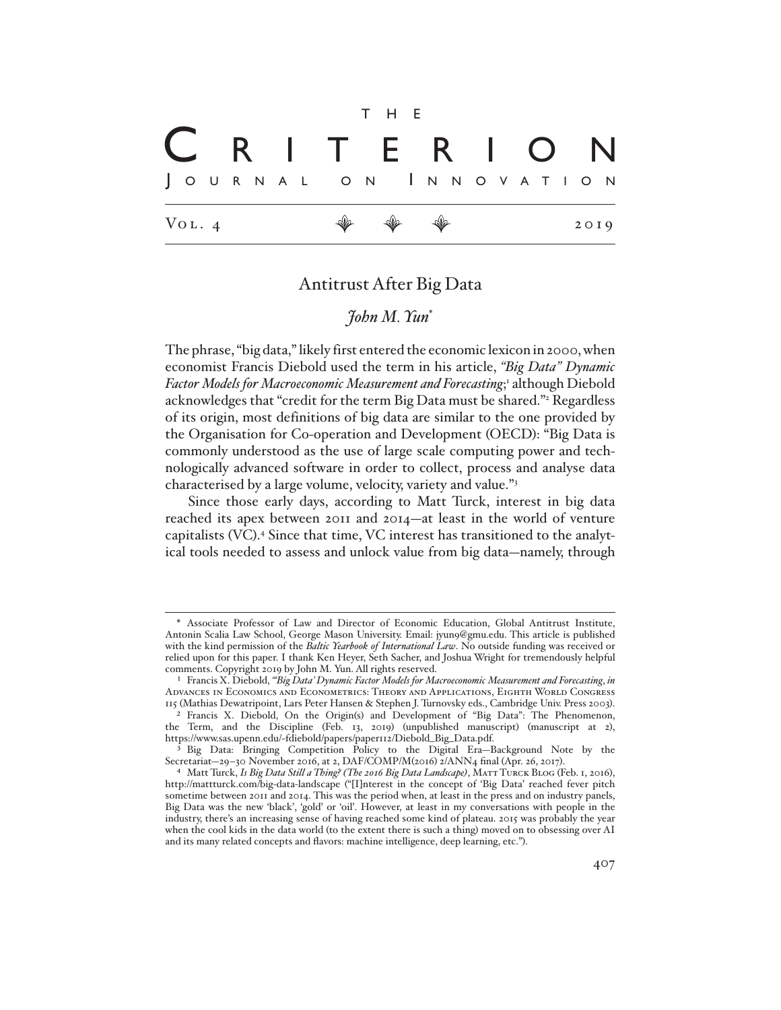Vol. 4 E E E 2019 t h e J o u r n a l o n I n n o v a t <sup>i</sup> o n C r i t e r i o n

## Antitrust After Big Data

# *John M. Yun*\*

The phrase, "big data," likely first entered the economic lexicon in 2000, when economist Francis Diebold used the term in his article, *"Big Data" Dynamic*  Factor Models for Macroeconomic Measurement and Forecasting;<sup>1</sup> although Diebold acknowledges that "credit for the term Big Data must be shared."<sup>2</sup> Regardless of its origin, most definitions of big data are similar to the one provided by the Organisation for Co-operation and Development (OECD): "Big Data is commonly understood as the use of large scale computing power and technologically advanced software in order to collect, process and analyse data characterised by a large volume, velocity, variety and value."3

Since those early days, according to Matt Turck, interest in big data reached its apex between 2011 and 2014—at least in the world of venture capitalists (VC).<sup>4</sup> Since that time, VC interest has transitioned to the analytical tools needed to assess and unlock value from big data—namely, through

<sup>\*</sup> Associate Professor of Law and Director of Economic Education, Global Antitrust Institute, Antonin Scalia Law School, George Mason University. Email: jyun9@gmu.edu. This article is published with the kind permission of the *Baltic Yearbook of International Law*. No outside funding was received or relied upon for this paper. I thank Ken Heyer, Seth Sacher, and Joshua Wright for tremendously helpful comments. Copyright 2019 by John M. Yun. All rights reserved.

<sup>1</sup> Francis X. Diebold, *"'Big Data' Dynamic Factor Models for Macroeconomic Measurement and Forecasting*, *in*  Advances in Economics and Econometrics: Theory and Applications, Eighth World Congress 115 (Mathias Dewatripoint, Lars Peter Hansen & Stephen J. Turnovsky eds., Cambridge Univ. Press 2003).

<sup>2</sup> Francis X. Diebold, On the Origin(s) and Development of "Big Data": The Phenomenon, the Term, and the Discipline (Feb. 13, 2019) (unpublished manuscript) (manuscript at 2), https://www.sas.upenn.edu/~fdiebold/papers/paper112/Diebold\_Big\_Data.pdf.

<sup>3</sup> Big Data: Bringing Competition Policy to the Digital Era—Background Note by the Secretariat-29-30 November 2016, at 2, DAF/COMP/M(2016) 2/ANN4 final (Apr. 26, 2017).

<sup>4</sup> Matt Turck, *Is Big Data Still a Thing? (The 2016 Big Data Landscape)*, Matt Turck Blog (Feb. 1, 2016), http://mattturck.com/big-data-landscape ("[I]nterest in the concept of 'Big Data' reached fever pitch sometime between 2011 and 2014. This was the period when, at least in the press and on industry panels, Big Data was the new 'black', 'gold' or 'oil'. However, at least in my conversations with people in the industry, there's an increasing sense of having reached some kind of plateau. 2015 was probably the year when the cool kids in the data world (to the extent there is such a thing) moved on to obsessing over AI and its many related concepts and flavors: machine intelligence, deep learning, etc.").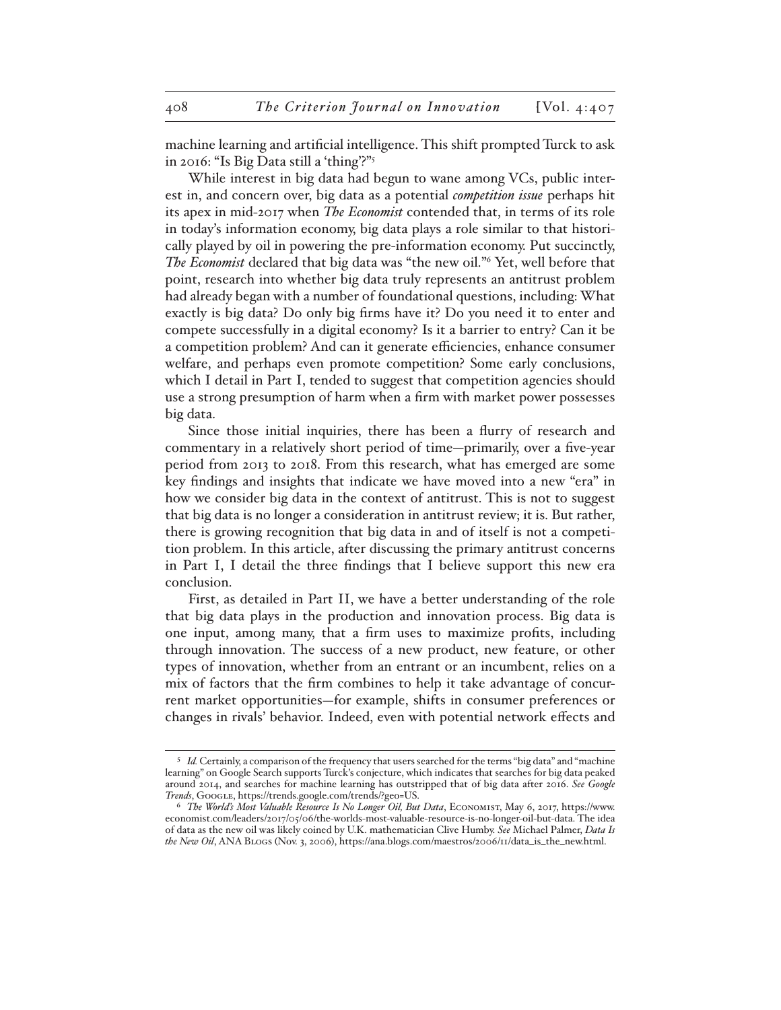machine learning and artificial intelligence. This shift prompted Turck to ask in 2016: "Is Big Data still a 'thing'?"5

While interest in big data had begun to wane among VCs, public interest in, and concern over, big data as a potential *competition issue* perhaps hit its apex in mid-2017 when *The Economist* contended that, in terms of its role in today's information economy, big data plays a role similar to that historically played by oil in powering the pre-information economy. Put succinctly, *The Economist* declared that big data was "the new oil."6 Yet, well before that point, research into whether big data truly represents an antitrust problem had already began with a number of foundational questions, including: What exactly is big data? Do only big firms have it? Do you need it to enter and compete successfully in a digital economy? Is it a barrier to entry? Can it be a competition problem? And can it generate efficiencies, enhance consumer welfare, and perhaps even promote competition? Some early conclusions, which I detail in Part I, tended to suggest that competition agencies should use a strong presumption of harm when a firm with market power possesses big data.

Since those initial inquiries, there has been a flurry of research and commentary in a relatively short period of time—primarily, over a five-year period from 2013 to 2018. From this research, what has emerged are some key findings and insights that indicate we have moved into a new "era" in how we consider big data in the context of antitrust. This is not to suggest that big data is no longer a consideration in antitrust review; it is. But rather, there is growing recognition that big data in and of itself is not a competition problem. In this article, after discussing the primary antitrust concerns in Part I, I detail the three findings that I believe support this new era conclusion.

First, as detailed in Part II, we have a better understanding of the role that big data plays in the production and innovation process. Big data is one input, among many, that a firm uses to maximize profits, including through innovation. The success of a new product, new feature, or other types of innovation, whether from an entrant or an incumbent, relies on a mix of factors that the firm combines to help it take advantage of concurrent market opportunities—for example, shifts in consumer preferences or changes in rivals' behavior. Indeed, even with potential network effects and

<sup>5</sup> *Id.* Certainly, a comparison of the frequency that users searched for the terms "big data" and "machine learning" on Google Search supports Turck's conjecture, which indicates that searches for big data peaked around 2014, and searches for machine learning has outstripped that of big data after 2016. *See Google Trends*, Google, https://trends.google.com/trends/?geo=US.

<sup>6</sup> *The World's Most Valuable Resource Is No Longer Oil, But Data*, Economist, May 6, 2017, https://www. economist.com/leaders/2017/05/06/the-worlds-most-valuable-resource-is-no-longer-oil-but-data. The idea of data as the new oil was likely coined by U.K. mathematician Clive Humby. *See* Michael Palmer, *Data Is the New Oil*, ANA Blogs (Nov. 3, 2006), https://ana.blogs.com/maestros/2006/11/data\_is\_the\_new.html.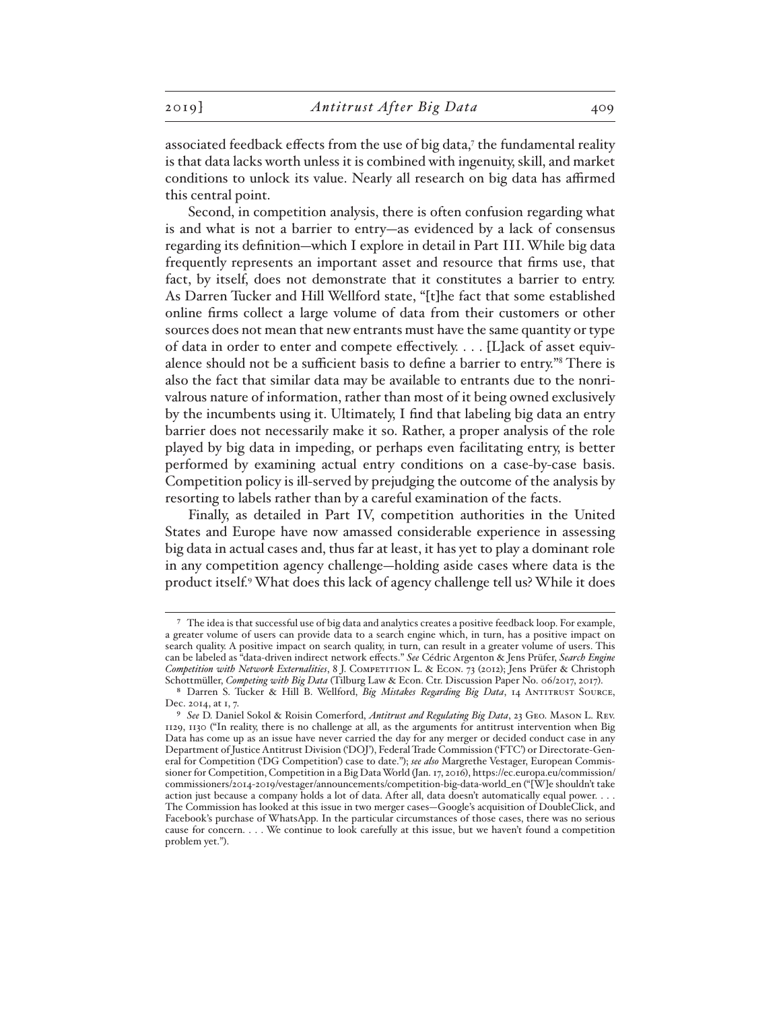associated feedback effects from the use of big data,7 the fundamental reality is that data lacks worth unless it is combined with ingenuity, skill, and market conditions to unlock its value. Nearly all research on big data has affirmed this central point.

Second, in competition analysis, there is often confusion regarding what is and what is not a barrier to entry—as evidenced by a lack of consensus regarding its definition—which I explore in detail in Part III. While big data frequently represents an important asset and resource that firms use, that fact, by itself, does not demonstrate that it constitutes a barrier to entry. As Darren Tucker and Hill Wellford state, "[t]he fact that some established online firms collect a large volume of data from their customers or other sources does not mean that new entrants must have the same quantity or type of data in order to enter and compete effectively. . . . [L]ack of asset equivalence should not be a sufficient basis to define a barrier to entry."8 There is also the fact that similar data may be available to entrants due to the nonrivalrous nature of information, rather than most of it being owned exclusively by the incumbents using it. Ultimately, I find that labeling big data an entry barrier does not necessarily make it so. Rather, a proper analysis of the role played by big data in impeding, or perhaps even facilitating entry, is better performed by examining actual entry conditions on a case-by-case basis. Competition policy is ill-served by prejudging the outcome of the analysis by resorting to labels rather than by a careful examination of the facts.

Finally, as detailed in Part IV, competition authorities in the United States and Europe have now amassed considerable experience in assessing big data in actual cases and, thus far at least, it has yet to play a dominant role in any competition agency challenge—holding aside cases where data is the product itself.9 What does this lack of agency challenge tell us? While it does

<sup>7</sup> The idea is that successful use of big data and analytics creates a positive feedback loop. For example, a greater volume of users can provide data to a search engine which, in turn, has a positive impact on search quality. A positive impact on search quality, in turn, can result in a greater volume of users. This can be labeled as "data-driven indirect network effects." *See* Cédric Argenton & Jens Prüfer, *Search Engine Competition with Network Externalities*, 8 J. Competition L. & Econ. 73 (2012); Jens Prüfer & Christoph Schottmüller, *Competing with Big Data* (Tilburg Law & Econ. Ctr. Discussion Paper No. 06/2017, 2017).

<sup>8</sup> Darren S. Tucker & Hill B. Wellford, *Big Mistakes Regarding Big Data*, 14 Antitrust Source, Dec. 2014, at 1, 7.

<sup>9</sup> *See* D. Daniel Sokol & Roisin Comerford, *Antitrust and Regulating Big Data*, 23 Geo. Mason L. Rev. 1129, 1130 ("In reality, there is no challenge at all, as the arguments for antitrust intervention when Big Data has come up as an issue have never carried the day for any merger or decided conduct case in any Department of Justice Antitrust Division ('DOJ'), Federal Trade Commission ('FTC') or Directorate-General for Competition ('DG Competition') case to date."); *see also* Margrethe Vestager, European Commissioner for Competition, Competition in a Big Data World (Jan. 17, 2016), https://ec.europa.eu/commission/ commissioners/2014-2019/vestager/announcements/competition-big-data-world\_en ("[W]e shouldn't take action just because a company holds a lot of data. After all, data doesn't automatically equal power. . . . The Commission has looked at this issue in two merger cases—Google's acquisition of DoubleClick, and Facebook's purchase of WhatsApp. In the particular circumstances of those cases, there was no serious cause for concern. . . . We continue to look carefully at this issue, but we haven't found a competition problem yet.").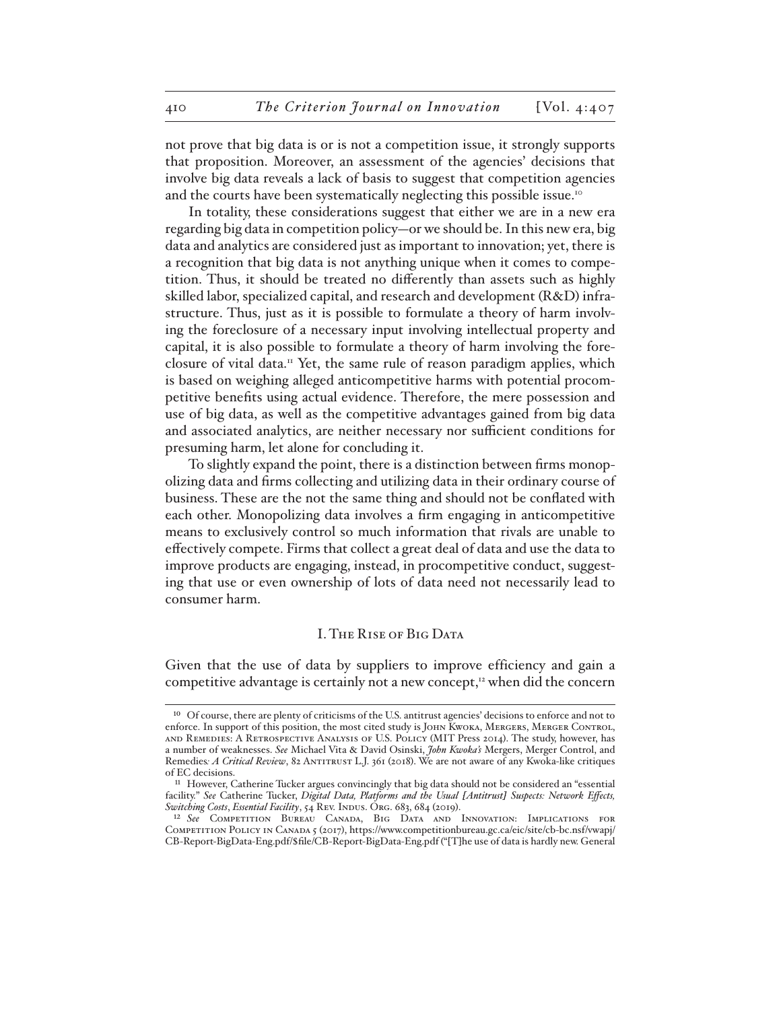not prove that big data is or is not a competition issue, it strongly supports that proposition. Moreover, an assessment of the agencies' decisions that involve big data reveals a lack of basis to suggest that competition agencies and the courts have been systematically neglecting this possible issue.<sup>10</sup>

In totality, these considerations suggest that either we are in a new era regarding big data in competition policy—or we should be. In this new era, big data and analytics are considered just as important to innovation; yet, there is a recognition that big data is not anything unique when it comes to competition. Thus, it should be treated no differently than assets such as highly skilled labor, specialized capital, and research and development (R&D) infrastructure. Thus, just as it is possible to formulate a theory of harm involving the foreclosure of a necessary input involving intellectual property and capital, it is also possible to formulate a theory of harm involving the foreclosure of vital data.<sup>11</sup> Yet, the same rule of reason paradigm applies, which is based on weighing alleged anticompetitive harms with potential procompetitive benefits using actual evidence. Therefore, the mere possession and use of big data, as well as the competitive advantages gained from big data and associated analytics, are neither necessary nor sufficient conditions for presuming harm, let alone for concluding it.

To slightly expand the point, there is a distinction between firms monopolizing data and firms collecting and utilizing data in their ordinary course of business. These are the not the same thing and should not be conflated with each other. Monopolizing data involves a firm engaging in anticompetitive means to exclusively control so much information that rivals are unable to effectively compete. Firms that collect a great deal of data and use the data to improve products are engaging, instead, in procompetitive conduct, suggesting that use or even ownership of lots of data need not necessarily lead to consumer harm.

#### I. The Rise of Big Data

Given that the use of data by suppliers to improve efficiency and gain a competitive advantage is certainly not a new concept, $12$  when did the concern

<sup>&</sup>lt;sup>10</sup> Of course, there are plenty of criticisms of the U.S. antitrust agencies' decisions to enforce and not to enforce. In support of this position, the most cited study is John Kwoka, Mergers, Merger Control, and Remedies: A Retrospective Analysis of U.S. Policy (MIT Press 2014). The study, however, has a number of weaknesses. *See* Michael Vita & David Osinski, *John Kwoka's* Mergers, Merger Control, and Remedies: A Critical Review, 82 ANTITRUST L.J. 361 (2018). We are not aware of any Kwoka-like critiques of EC decisions.

<sup>11</sup> However, Catherine Tucker argues convincingly that big data should not be considered an "essential facility." *See* Catherine Tucker, *Digital Data, Platforms and the Usual [Antitrust] Suspects: Network Effects, Switching Costs*, *Essential Facility*, 54 Rev. Indus. Org. 683, 684 (2019).

<sup>12</sup> *See* Competition Bureau Canada, Big Data and Innovation: Implications for Competition Policy in Canada 5 (2017), https://www.competitionbureau.gc.ca/eic/site/cb-bc.nsf/vwapj/ CB-Report-BigData-Eng.pdf/\$file/CB-Report-BigData-Eng.pdf ("[T]he use of data is hardly new. General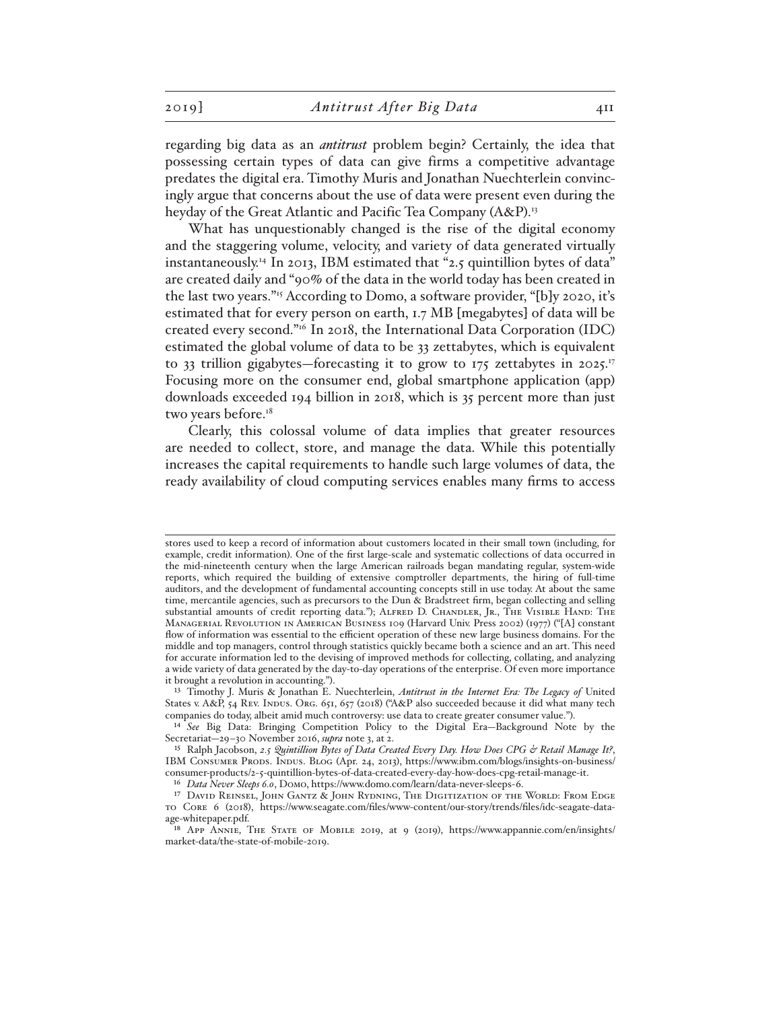regarding big data as an *antitrust* problem begin? Certainly, the idea that possessing certain types of data can give firms a competitive advantage predates the digital era. Timothy Muris and Jonathan Nuechterlein convincingly argue that concerns about the use of data were present even during the heyday of the Great Atlantic and Pacific Tea Company (A&P).<sup>13</sup>

What has unquestionably changed is the rise of the digital economy and the staggering volume, velocity, and variety of data generated virtually instantaneously.<sup>14</sup> In 2013, IBM estimated that "2.5 quintillion bytes of data" are created daily and "90% of the data in the world today has been created in the last two years."15 According to Domo, a software provider, "[b]y 2020, it's estimated that for every person on earth, 1.7 MB [megabytes] of data will be created every second."16 In 2018, the International Data Corporation (IDC) estimated the global volume of data to be 33 zettabytes, which is equivalent to 33 trillion gigabytes—forecasting it to grow to 175 zettabytes in 2025.<sup>17</sup> Focusing more on the consumer end, global smartphone application (app) downloads exceeded 194 billion in 2018, which is 35 percent more than just two years before.<sup>18</sup>

Clearly, this colossal volume of data implies that greater resources are needed to collect, store, and manage the data. While this potentially increases the capital requirements to handle such large volumes of data, the ready availability of cloud computing services enables many firms to access

16 *Data Never Sleeps 6.0*, Domo, https://www.domo.com/learn/data-never-sleeps-6.

stores used to keep a record of information about customers located in their small town (including, for example, credit information). One of the first large-scale and systematic collections of data occurred in the mid-nineteenth century when the large American railroads began mandating regular, system-wide reports, which required the building of extensive comptroller departments, the hiring of full-time auditors, and the development of fundamental accounting concepts still in use today. At about the same time, mercantile agencies, such as precursors to the Dun & Bradstreet firm, began collecting and selling substantial amounts of credit reporting data."); ALFRED D. CHANDLER, JR., THE VISIBLE HAND: THE Managerial Revolution in American Business 109 (Harvard Univ. Press 2002) (1977) ("[A] constant flow of information was essential to the efficient operation of these new large business domains. For the middle and top managers, control through statistics quickly became both a science and an art. This need for accurate information led to the devising of improved methods for collecting, collating, and analyzing a wide variety of data generated by the day-to-day operations of the enterprise. Of even more importance it brought a revolution in accounting.").

<sup>13</sup> Timothy J. Muris & Jonathan E. Nuechterlein, *Antitrust in the Internet Era: The Legacy of* United States v. A&P, 54 REV. INDUS. ORG. 651, 657 (2018) ("A&P also succeeded because it did what many tech companies do today, albeit amid much controversy: use data to create greater consumer value.").

<sup>14</sup> *See* Big Data: Bringing Competition Policy to the Digital Era—Background Note by the Secretariat—29–30 November 2016, *supra* note 3, at 2.

<sup>15</sup> Ralph Jacobson, *2.5 Quintillion Bytes of Data Created Every Day. How Does CPG & Retail Manage It?*, IBM Consumer Prods. Indus. Blog (Apr. 24, 2013), https://www.ibm.com/blogs/insights-on-business/ consumer-products/2-5-quintillion-bytes-of-data-created-every-day-how-does-cpg-retail-manage-it.

<sup>17</sup> David Reinsel, John Gantz & John Rydning, The Digitization of the World: From Edge to Core 6 (2018), https://www.seagate.com/files/www-content/our-story/trends/files/idc-seagate-dataage-whitepaper.pdf.

<sup>18</sup> App Annie, The State of Mobile 2019, at 9 (2019), https://www.appannie.com/en/insights/ market-data/the-state-of-mobile-2019.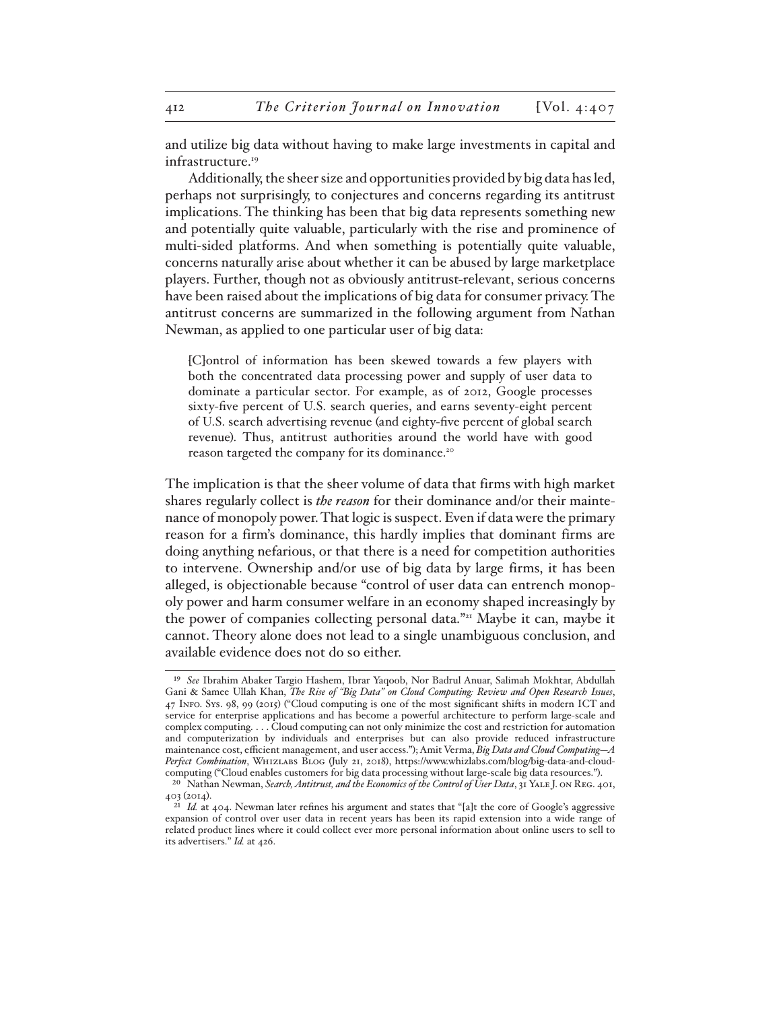and utilize big data without having to make large investments in capital and infrastructure.<sup>19</sup>

Additionally, the sheer size and opportunities provided by big data has led, perhaps not surprisingly, to conjectures and concerns regarding its antitrust implications. The thinking has been that big data represents something new and potentially quite valuable, particularly with the rise and prominence of multi-sided platforms. And when something is potentially quite valuable, concerns naturally arise about whether it can be abused by large marketplace players. Further, though not as obviously antitrust-relevant, serious concerns have been raised about the implications of big data for consumer privacy. The antitrust concerns are summarized in the following argument from Nathan Newman, as applied to one particular user of big data:

[C]ontrol of information has been skewed towards a few players with both the concentrated data processing power and supply of user data to dominate a particular sector. For example, as of 2012, Google processes sixty-five percent of U.S. search queries, and earns seventy-eight percent of U.S. search advertising revenue (and eighty-five percent of global search revenue). Thus, antitrust authorities around the world have with good reason targeted the company for its dominance.20

The implication is that the sheer volume of data that firms with high market shares regularly collect is *the reason* for their dominance and/or their maintenance of monopoly power. That logic is suspect. Even if data were the primary reason for a firm's dominance, this hardly implies that dominant firms are doing anything nefarious, or that there is a need for competition authorities to intervene. Ownership and/or use of big data by large firms, it has been alleged, is objectionable because "control of user data can entrench monopoly power and harm consumer welfare in an economy shaped increasingly by the power of companies collecting personal data."<sup>21</sup> Maybe it can, maybe it cannot. Theory alone does not lead to a single unambiguous conclusion, and available evidence does not do so either.

<sup>19</sup> *See* Ibrahim Abaker Targio Hashem, Ibrar Yaqoob, Nor Badrul Anuar, Salimah Mokhtar, Abdullah Gani & Samee Ullah Khan, *The Rise of "Big Data" on Cloud Computing: Review and Open Research Issues*, 47 Info. Sys. 98, 99 (2015) ("Cloud computing is one of the most significant shifts in modern ICT and service for enterprise applications and has become a powerful architecture to perform large-scale and complex computing. . . . Cloud computing can not only minimize the cost and restriction for automation and computerization by individuals and enterprises but can also provide reduced infrastructure maintenance cost, efficient management, and user access."); Amit Verma, *Big Data and Cloud Computing—A Perfect Combination*, Whizlabs Blog (July 21, 2018), https://www.whizlabs.com/blog/big-data-and-cloudcomputing ("Cloud enables customers for big data processing without large-scale big data resources.").

<sup>20</sup> Nathan Newman, *Search, Antitrust, and the Economics of the Control of User Data*, 31 Yale J. on Reg. 401, 403 (2014).

<sup>&</sup>lt;sup>21</sup> *Id.* at 404. Newman later refines his argument and states that "[a]t the core of Google's aggressive expansion of control over user data in recent years has been its rapid extension into a wide range of related product lines where it could collect ever more personal information about online users to sell to its advertisers." *Id.* at 426.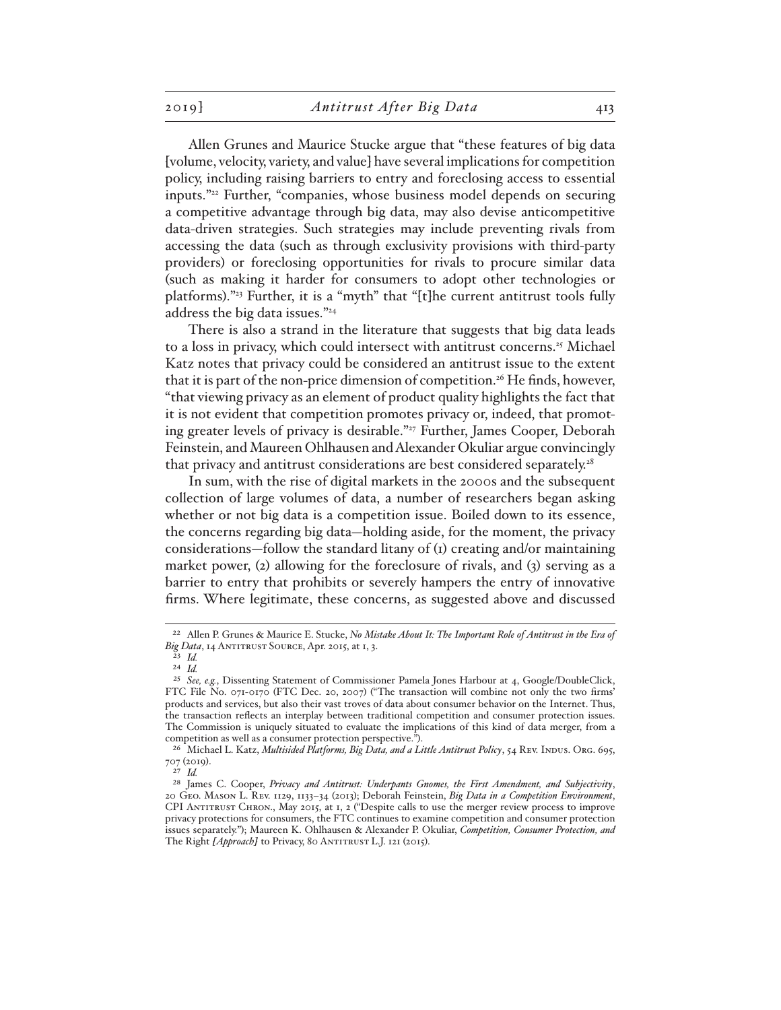Allen Grunes and Maurice Stucke argue that "these features of big data [volume, velocity, variety, and value] have several implications for competition policy, including raising barriers to entry and foreclosing access to essential inputs."22 Further, "companies, whose business model depends on securing a competitive advantage through big data, may also devise anticompetitive data-driven strategies. Such strategies may include preventing rivals from accessing the data (such as through exclusivity provisions with third-party providers) or foreclosing opportunities for rivals to procure similar data (such as making it harder for consumers to adopt other technologies or platforms)."23 Further, it is a "myth" that "[t]he current antitrust tools fully address the big data issues."24

There is also a strand in the literature that suggests that big data leads to a loss in privacy, which could intersect with antitrust concerns.<sup>25</sup> Michael Katz notes that privacy could be considered an antitrust issue to the extent that it is part of the non-price dimension of competition.<sup>26</sup> He finds, however, "that viewing privacy as an element of product quality highlights the fact that it is not evident that competition promotes privacy or, indeed, that promoting greater levels of privacy is desirable."<sup>27</sup> Further, James Cooper, Deborah Feinstein, and Maureen Ohlhausen and Alexander Okuliar argue convincingly that privacy and antitrust considerations are best considered separately.<sup>28</sup>

In sum, with the rise of digital markets in the 2000s and the subsequent collection of large volumes of data, a number of researchers began asking whether or not big data is a competition issue. Boiled down to its essence, the concerns regarding big data—holding aside, for the moment, the privacy considerations—follow the standard litany of (1) creating and/or maintaining market power,  $(2)$  allowing for the foreclosure of rivals, and  $(3)$  serving as a barrier to entry that prohibits or severely hampers the entry of innovative firms. Where legitimate, these concerns, as suggested above and discussed

<sup>22</sup> Allen P. Grunes & Maurice E. Stucke, *No Mistake About It: The Important Role of Antitrust in the Era of*  Big Data, 14 ANTITRUST SOURCE, Apr. 2015, at 1, 3.

<sup>23</sup> *Id.*

<sup>24</sup> *Id.*

<sup>25</sup> *See, e.g.*, Dissenting Statement of Commissioner Pamela Jones Harbour at 4, Google/DoubleClick, FTC File No. 071-0170 (FTC Dec. 20, 2007) ("The transaction will combine not only the two firms' products and services, but also their vast troves of data about consumer behavior on the Internet. Thus, the transaction reflects an interplay between traditional competition and consumer protection issues. The Commission is uniquely situated to evaluate the implications of this kind of data merger, from a competition as well as a consumer protection perspective.").

<sup>&</sup>lt;sup>26</sup> Michael L. Katz, *Multisided Platforms*, *Big Data, and a Little Antitrust Policy*, 54 REV. INDUS. ORG. 695, 707 (2019).

<sup>27</sup> *Id.*

<sup>28</sup> James C. Cooper, *Privacy and Antitrust: Underpants Gnomes, the First Amendment, and Subjectivity*, 20 Geo. Mason L. Rev. 1129, 1133–34 (2013); Deborah Feinstein, *Big Data in a Competition Environment*, CPI Antitrust Chron., May 2015, at 1, 2 ("Despite calls to use the merger review process to improve privacy protections for consumers, the FTC continues to examine competition and consumer protection issues separately."); Maureen K. Ohlhausen & Alexander P. Okuliar, *Competition, Consumer Protection, and*  The Right [Approach] to Privacy, 80 ANTITRUST L.J. 121 (2015).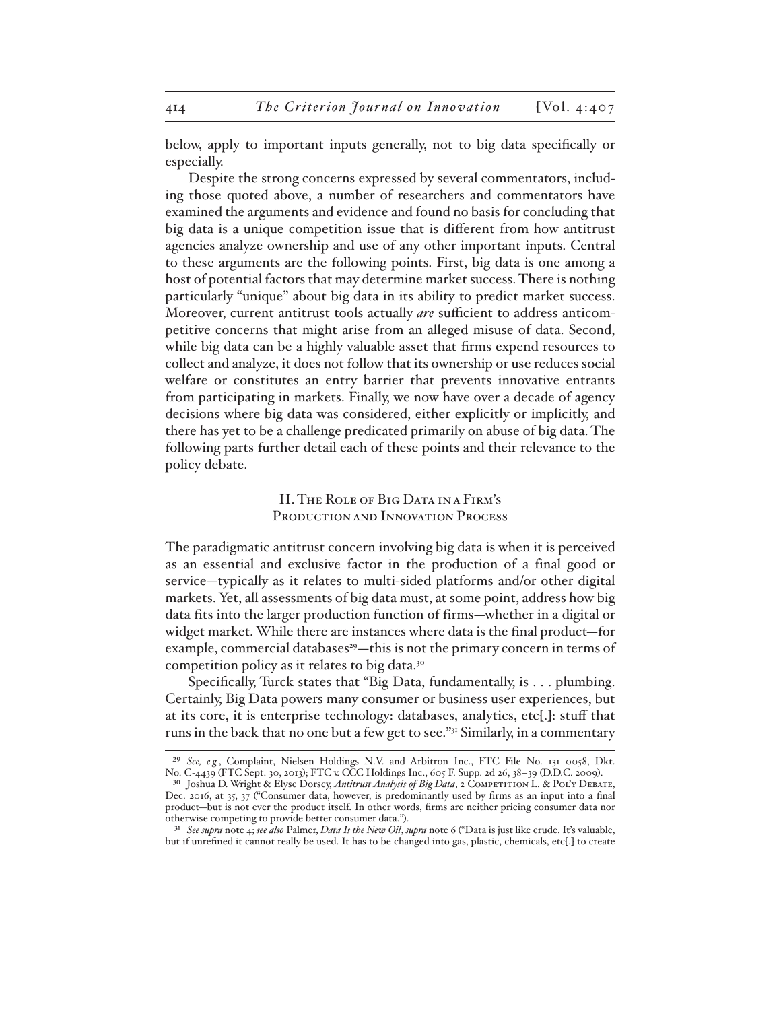below, apply to important inputs generally, not to big data specifically or especially.

Despite the strong concerns expressed by several commentators, including those quoted above, a number of researchers and commentators have examined the arguments and evidence and found no basis for concluding that big data is a unique competition issue that is different from how antitrust agencies analyze ownership and use of any other important inputs. Central to these arguments are the following points. First, big data is one among a host of potential factors that may determine market success. There is nothing particularly "unique" about big data in its ability to predict market success. Moreover, current antitrust tools actually *are* sufficient to address anticompetitive concerns that might arise from an alleged misuse of data. Second, while big data can be a highly valuable asset that firms expend resources to collect and analyze, it does not follow that its ownership or use reduces social welfare or constitutes an entry barrier that prevents innovative entrants from participating in markets. Finally, we now have over a decade of agency decisions where big data was considered, either explicitly or implicitly, and there has yet to be a challenge predicated primarily on abuse of big data. The following parts further detail each of these points and their relevance to the policy debate.

### II. The Role of Big Data in a Firm's PRODUCTION AND INNOVATION PROCESS

The paradigmatic antitrust concern involving big data is when it is perceived as an essential and exclusive factor in the production of a final good or service—typically as it relates to multi-sided platforms and/or other digital markets. Yet, all assessments of big data must, at some point, address how big data fits into the larger production function of firms—whether in a digital or widget market. While there are instances where data is the final product—for example, commercial databases<sup>29</sup>—this is not the primary concern in terms of competition policy as it relates to big data.30

Specifically, Turck states that "Big Data, fundamentally, is . . . plumbing. Certainly, Big Data powers many consumer or business user experiences, but at its core, it is enterprise technology: databases, analytics, etc[.]: stuff that runs in the back that no one but a few get to see."<sup>31</sup> Similarly, in a commentary

<sup>29</sup> *See, e.g.*, Complaint, Nielsen Holdings N.V. and Arbitron Inc., FTC File No. 131 0058, Dkt. No. C-4439 (FTC Sept. 30, 2013); FTC v. CCC Holdings Inc., 605 F. Supp. 2d 26, 38–39 (D.D.C. 2009).

<sup>&</sup>lt;sup>30</sup> Joshua D. Wright & Elyse Dorsey, *Antitrust Analysis of Big Data*, 2 COMPETITION L. & POL'Y DEBATE, Dec. 2016, at 35, 37 ("Consumer data, however, is predominantly used by firms as an input into a final product—but is not ever the product itself. In other words, firms are neither pricing consumer data nor otherwise competing to provide better consumer data.").

<sup>31</sup> *See supra* note 4; *see also* Palmer, *Data Is the New Oil*, *supra* note 6 ("Data is just like crude. It's valuable, but if unrefined it cannot really be used. It has to be changed into gas, plastic, chemicals, etc[.] to create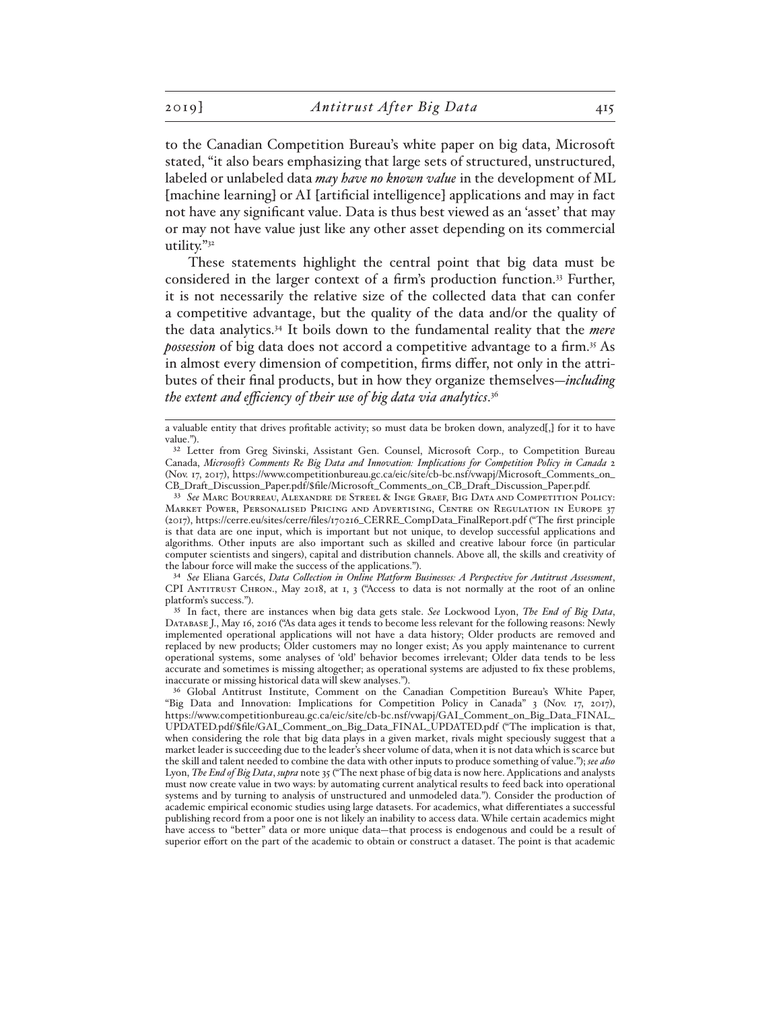to the Canadian Competition Bureau's white paper on big data, Microsoft stated, "it also bears emphasizing that large sets of structured, unstructured, labeled or unlabeled data *may have no known value* in the development of ML [machine learning] or AI [artificial intelligence] applications and may in fact not have any significant value. Data is thus best viewed as an 'asset' that may or may not have value just like any other asset depending on its commercial utility."32

These statements highlight the central point that big data must be considered in the larger context of a firm's production function.<sup>33</sup> Further, it is not necessarily the relative size of the collected data that can confer a competitive advantage, but the quality of the data and/or the quality of the data analytics.34 It boils down to the fundamental reality that the *mere possession* of big data does not accord a competitive advantage to a firm.<sup>35</sup> As in almost every dimension of competition, firms differ, not only in the attributes of their final products, but in how they organize themselves—*including the extent and efficiency of their use of big data via analytics*. 36

34 *See* Eliana Garcés, *Data Collection in Online Platform Businesses: A Perspective for Antitrust Assessment*, CPI ANTITRUST CHRON., May 2018, at 1, 3 ("Access to data is not normally at the root of an online platform's success.").

35 In fact, there are instances when big data gets stale. *See* Lockwood Lyon, *The End of Big Data*, Database J., May 16, 2016 ("As data ages it tends to become less relevant for the following reasons: Newly implemented operational applications will not have a data history; Older products are removed and replaced by new products; Older customers may no longer exist; As you apply maintenance to current operational systems, some analyses of 'old' behavior becomes irrelevant; Older data tends to be less accurate and sometimes is missing altogether; as operational systems are adjusted to fix these problems, inaccurate or missing historical data will skew analyses.").

a valuable entity that drives profitable activity; so must data be broken down, analyzed[,] for it to have value.").

<sup>&</sup>lt;sup>32</sup> Letter from Greg Sivinski, Assistant Gen. Counsel, Microsoft Corp., to Competition Bureau Canada, *Microsoft's Comments Re Big Data and Innovation: Implications for Competition Policy in Canada* 2 (Nov. 17, 2017), https://www.competitionbureau.gc.ca/eic/site/cb-bc.nsf/vwapj/Microsoft\_Comments\_on\_ CB\_Draft\_Discussion\_Paper.pdf/\$file/Microsoft\_Comments\_on\_CB\_Draft\_Discussion\_Paper.pdf.

<sup>33</sup> *See* Marc Bourreau, Alexandre de Streel & Inge Graef, Big Data and Competition Policy: Market Power, Personalised Pricing and Advertising, Centre on Regulation in Europe 37 (2017), https://cerre.eu/sites/cerre/files/170216\_CERRE\_CompData\_FinalReport.pdf ("The first principle is that data are one input, which is important but not unique, to develop successful applications and algorithms. Other inputs are also important such as skilled and creative labour force (in particular computer scientists and singers), capital and distribution channels. Above all, the skills and creativity of the labour force will make the success of the applications.").

<sup>36</sup> Global Antitrust Institute, Comment on the Canadian Competition Bureau's White Paper, "Big Data and Innovation: Implications for Competition Policy in Canada" 3 (Nov. 17, 2017), https://www.competitionbureau.gc.ca/eic/site/cb-bc.nsf/vwapj/GAI\_Comment\_on\_Big\_Data\_FINAL\_ UPDATED.pdf/\$file/GAI\_Comment\_on\_Big\_Data\_FINAL\_UPDATED.pdf ("The implication is that, when considering the role that big data plays in a given market, rivals might speciously suggest that a market leader is succeeding due to the leader's sheer volume of data, when it is not data which is scarce but the skill and talent needed to combine the data with other inputs to produce something of value."); *see also* Lyon, *The End of Big Data*, *supra* note 35 ("The next phase of big data is now here. Applications and analysts must now create value in two ways: by automating current analytical results to feed back into operational systems and by turning to analysis of unstructured and unmodeled data."). Consider the production of academic empirical economic studies using large datasets. For academics, what differentiates a successful publishing record from a poor one is not likely an inability to access data. While certain academics might have access to "better" data or more unique data—that process is endogenous and could be a result of superior effort on the part of the academic to obtain or construct a dataset. The point is that academic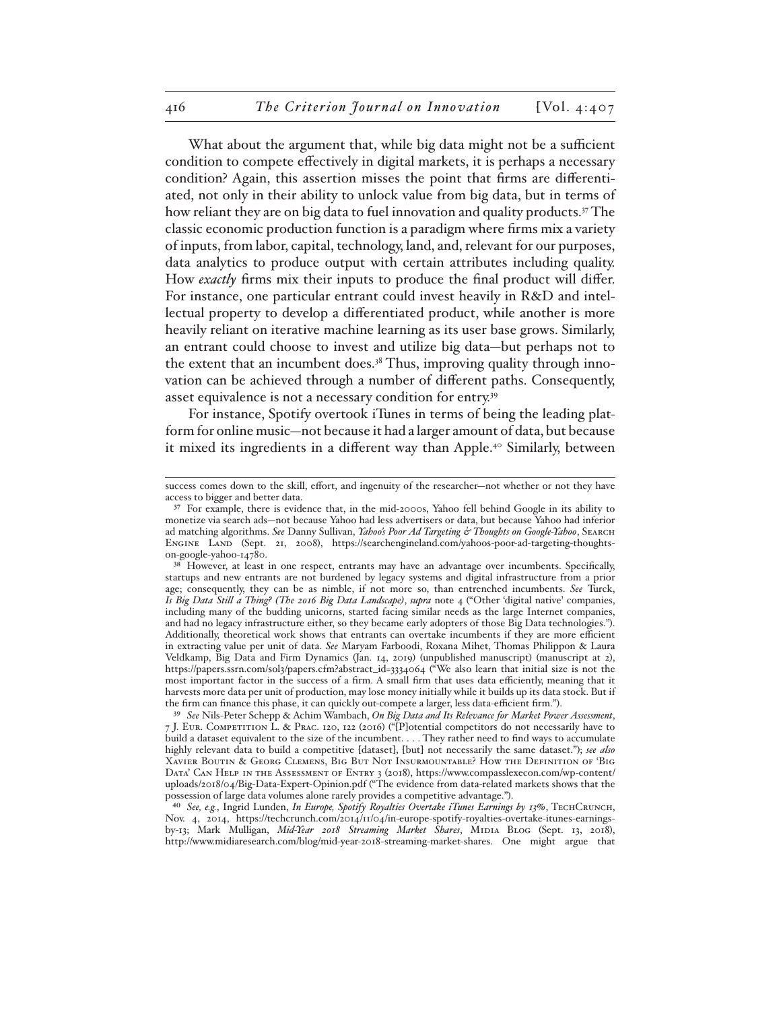What about the argument that, while big data might not be a sufficient condition to compete effectively in digital markets, it is perhaps a necessary condition? Again, this assertion misses the point that firms are differentiated, not only in their ability to unlock value from big data, but in terms of how reliant they are on big data to fuel innovation and quality products.<sup>37</sup> The classic economic production function is a paradigm where firms mix a variety of inputs, from labor, capital, technology, land, and, relevant for our purposes, data analytics to produce output with certain attributes including quality. How *exactly* firms mix their inputs to produce the final product will differ. For instance, one particular entrant could invest heavily in R&D and intellectual property to develop a differentiated product, while another is more heavily reliant on iterative machine learning as its user base grows. Similarly, an entrant could choose to invest and utilize big data—but perhaps not to the extent that an incumbent does.<sup>38</sup> Thus, improving quality through innovation can be achieved through a number of different paths. Consequently, asset equivalence is not a necessary condition for entry.39

For instance, Spotify overtook iTunes in terms of being the leading platform for online music—not because it had a larger amount of data, but because it mixed its ingredients in a different way than Apple.<sup>40</sup> Similarly, between

success comes down to the skill, effort, and ingenuity of the researcher—not whether or not they have access to bigger and better data.

<sup>&</sup>lt;sup>37</sup> For example, there is evidence that, in the mid-2000s, Yahoo fell behind Google in its ability to monetize via search ads—not because Yahoo had less advertisers or data, but because Yahoo had inferior ad matching algorithms. *See* Danny Sullivan, *Yahoo's Poor Ad Targeting & Thoughts on Google-Yahoo*, Search Engine Land (Sept. 21, 2008), https://searchengineland.com/yahoos-poor-ad-targeting-thoughtson-google-yahoo-14780.

<sup>&</sup>lt;sup>38</sup> However, at least in one respect, entrants may have an advantage over incumbents. Specifically, startups and new entrants are not burdened by legacy systems and digital infrastructure from a prior age; consequently, they can be as nimble, if not more so, than entrenched incumbents. *See* Turck, *Is Big Data Still a Thing? (The 2016 Big Data Landscape)*, *supra* note 4 ("Other 'digital native' companies, including many of the budding unicorns, started facing similar needs as the large Internet companies, and had no legacy infrastructure either, so they became early adopters of those Big Data technologies."). Additionally, theoretical work shows that entrants can overtake incumbents if they are more efficient in extracting value per unit of data. *See* Maryam Farboodi, Roxana Mihet, Thomas Philippon & Laura Veldkamp, Big Data and Firm Dynamics (Jan. 14, 2019) (unpublished manuscript) (manuscript at 2), https://papers.ssrn.com/sol3/papers.cfm?abstract\_id=3334064 ("We also learn that initial size is not the most important factor in the success of a firm. A small firm that uses data efficiently, meaning that it harvests more data per unit of production, may lose money initially while it builds up its data stock. But if the firm can finance this phase, it can quickly out-compete a larger, less data-efficient firm.").

<sup>39</sup> *See* Nils-Peter Schepp & Achim Wambach, *On Big Data and Its Relevance for Market Power Assessment*, 7 J. Eur. Competition L. & Prac. 120, 122 (2016) ("[P]otential competitors do not necessarily have to build a dataset equivalent to the size of the incumbent. . . . They rather need to find ways to accumulate highly relevant data to build a competitive [dataset], [but] not necessarily the same dataset."); *see also* Xavier Boutin & Georg Clemens, Big But Not Insurmountable? How the Definition of 'Big Data' Can Help in the Assessment of Entry 3 (2018), https://www.compasslexecon.com/wp-content/ uploads/2018/04/Big-Data-Expert-Opinion.pdf ("The evidence from data-related markets shows that the possession of large data volumes alone rarely provides a competitive advantage.").

<sup>40</sup> *See, e.g.*, Ingrid Lunden, *In Europe, Spotify Royalties Overtake iTunes Earnings by 13%*, TechCrunch, Nov. 4, 2014, https://techcrunch.com/2014/11/04/in-europe-spotify-royalties-overtake-itunes-earningsby-13; Mark Mulligan, *Mid-Year 2018 Streaming Market Shares*, Midia Blog (Sept. 13, 2018), http://www.midiaresearch.com/blog/mid-year-2018-streaming-market-shares. One might argue that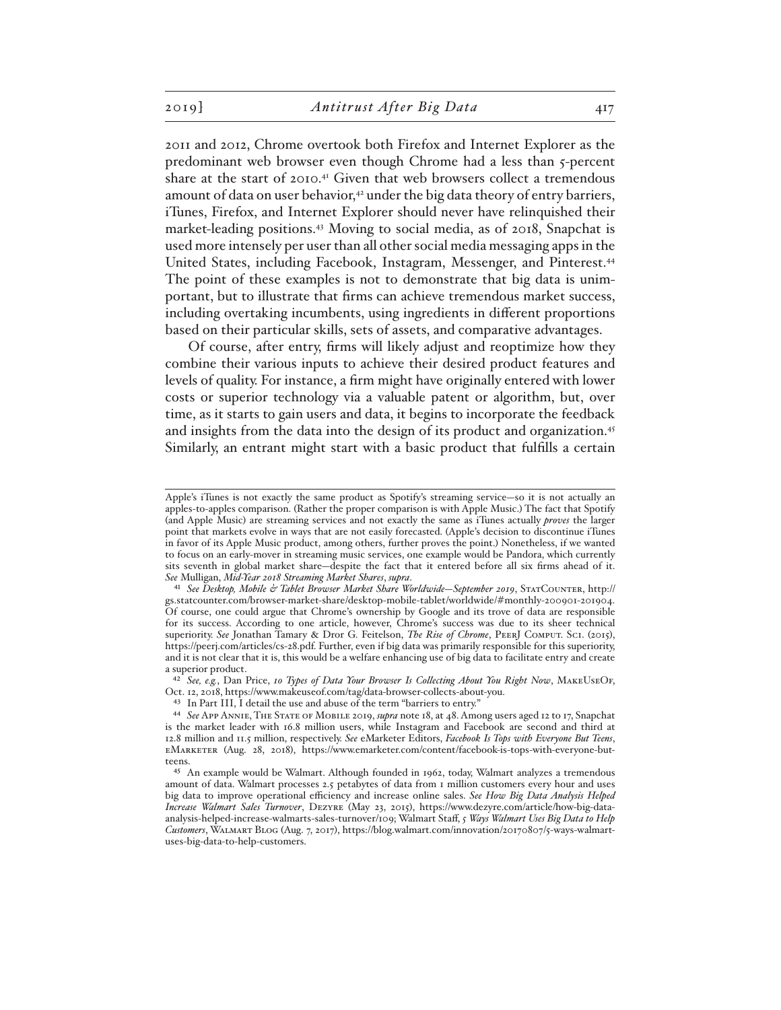2011 and 2012, Chrome overtook both Firefox and Internet Explorer as the predominant web browser even though Chrome had a less than 5-percent share at the start of 2010.41 Given that web browsers collect a tremendous amount of data on user behavior,<sup>42</sup> under the big data theory of entry barriers, iTunes, Firefox, and Internet Explorer should never have relinquished their market-leading positions.43 Moving to social media, as of 2018, Snapchat is used more intensely per user than all other social media messaging apps in the United States, including Facebook, Instagram, Messenger, and Pinterest.44 The point of these examples is not to demonstrate that big data is unimportant, but to illustrate that firms can achieve tremendous market success, including overtaking incumbents, using ingredients in different proportions based on their particular skills, sets of assets, and comparative advantages.

Of course, after entry, firms will likely adjust and reoptimize how they combine their various inputs to achieve their desired product features and levels of quality. For instance, a firm might have originally entered with lower costs or superior technology via a valuable patent or algorithm, but, over time, as it starts to gain users and data, it begins to incorporate the feedback and insights from the data into the design of its product and organization.<sup>45</sup> Similarly, an entrant might start with a basic product that fulfills a certain

42 *See, e.g.*, Dan Price, *10 Types of Data Your Browser Is Collecting About You Right Now*, MakeUseOf, Oct. 12, 2018, https://www.makeuseof.com/tag/data-browser-collects-about-you.

43 In Part III, I detail the use and abuse of the term "barriers to entry."

Apple's iTunes is not exactly the same product as Spotify's streaming service—so it is not actually an apples-to-apples comparison. (Rather the proper comparison is with Apple Music.) The fact that Spotify (and Apple Music) are streaming services and not exactly the same as iTunes actually *proves* the larger point that markets evolve in ways that are not easily forecasted. (Apple's decision to discontinue iTunes in favor of its Apple Music product, among others, further proves the point.) Nonetheless, if we wanted to focus on an early-mover in streaming music services, one example would be Pandora, which currently sits seventh in global market share—despite the fact that it entered before all six firms ahead of it. *See* Mulligan, *Mid-Year 2018 Streaming Market Shares*, *supra*.

<sup>41</sup> *See Desktop, Mobile & Tablet Browser Market Share Worldwide—September 2019*, StatCounter, http:// gs.statcounter.com/browser-market-share/desktop-mobile-tablet/worldwide/#monthly-200901-201904. Of course, one could argue that Chrome's ownership by Google and its trove of data are responsible for its success. According to one article, however, Chrome's success was due to its sheer technical superiority. *See* Jonathan Tamary & Dror G. Feitelson, *The Rise of Chrome*, PeerJ Comput. Sci. (2015), https://peerj.com/articles/cs-28.pdf. Further, even if big data was primarily responsible for this superiority, and it is not clear that it is, this would be a welfare enhancing use of big data to facilitate entry and create a superior product.

<sup>44</sup> *See* App Annie, The State of Mobile 2019, *supra* note 18, at 48. Among users aged 12 to 17, Snapchat is the market leader with 16.8 million users, while Instagram and Facebook are second and third at 12.8 million and 11.5 million, respectively. *See* eMarketer Editors, *Facebook Is Tops with Everyone But Teens*, eMarketer (Aug. 28, 2018), https://www.emarketer.com/content/facebook-is-tops-with-everyone-butteens.

<sup>45</sup> An example would be Walmart. Although founded in 1962, today, Walmart analyzes a tremendous amount of data. Walmart processes 2.5 petabytes of data from 1 million customers every hour and uses big data to improve operational efficiency and increase online sales. *See How Big Data Analysis Helped Increase Walmart Sales Turnover*, Dezyre (May 23, 2015), https://www.dezyre.com/article/how-big-dataanalysis-helped-increase-walmarts-sales-turnover/109; Walmart Staff, *5 Ways Walmart Uses Big Data to Help Customers*, Walmart Blog (Aug. 7, 2017), https://blog.walmart.com/innovation/20170807/5-ways-walmartuses-big-data-to-help-customers.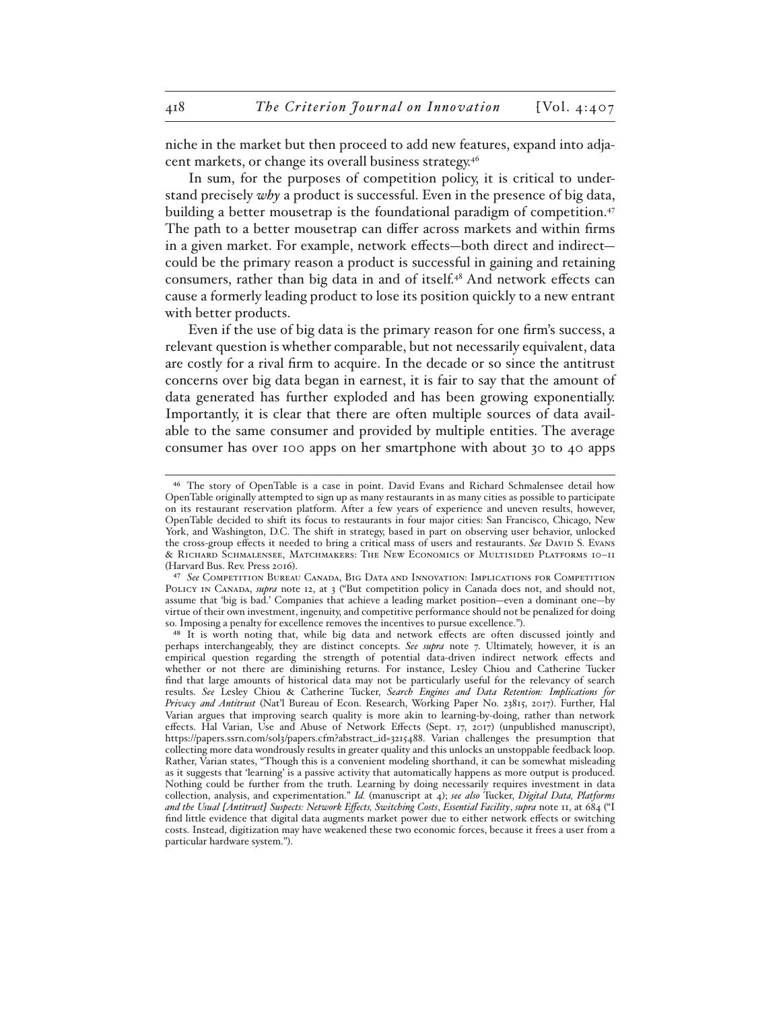niche in the market but then proceed to add new features, expand into adjacent markets, or change its overall business strategy.46

In sum, for the purposes of competition policy, it is critical to understand precisely *why* a product is successful. Even in the presence of big data, building a better mousetrap is the foundational paradigm of competition.47 The path to a better mousetrap can differ across markets and within firms in a given market. For example, network effects—both direct and indirect could be the primary reason a product is successful in gaining and retaining consumers, rather than big data in and of itself.48 And network effects can cause a formerly leading product to lose its position quickly to a new entrant with better products.

Even if the use of big data is the primary reason for one firm's success, a relevant question is whether comparable, but not necessarily equivalent, data are costly for a rival firm to acquire. In the decade or so since the antitrust concerns over big data began in earnest, it is fair to say that the amount of data generated has further exploded and has been growing exponentially. Importantly, it is clear that there are often multiple sources of data available to the same consumer and provided by multiple entities. The average consumer has over 100 apps on her smartphone with about 30 to 40 apps

<sup>46</sup> The story of OpenTable is a case in point. David Evans and Richard Schmalensee detail how OpenTable originally attempted to sign up as many restaurants in as many cities as possible to participate on its restaurant reservation platform. After a few years of experience and uneven results, however, OpenTable decided to shift its focus to restaurants in four major cities: San Francisco, Chicago, New York, and Washington, D.C. The shift in strategy, based in part on observing user behavior, unlocked the cross-group effects it needed to bring a critical mass of users and restaurants. *See* David S. Evans & Richard Schmalensee, Matchmakers: The New Economics of Multisided Platforms 10–11 (Harvard Bus. Rev. Press 2016).

<sup>47</sup> *See* Competition Bureau Canada, Big Data and Innovation: Implications for Competition POLICY IN CANADA, *supra* note 12, at 3 ("But competition policy in Canada does not, and should not, assume that 'big is bad.' Companies that achieve a leading market position—even a dominant one—by virtue of their own investment, ingenuity, and competitive performance should not be penalized for doing so. Imposing a penalty for excellence removes the incentives to pursue excellence.").

<sup>48</sup> It is worth noting that, while big data and network effects are often discussed jointly and perhaps interchangeably, they are distinct concepts. *See supra* note 7. Ultimately, however, it is an empirical question regarding the strength of potential data-driven indirect network effects and whether or not there are diminishing returns. For instance, Lesley Chiou and Catherine Tucker find that large amounts of historical data may not be particularly useful for the relevancy of search results. *See* Lesley Chiou & Catherine Tucker, *Search Engines and Data Retention: Implications for Privacy and Antitrust* (Nat'l Bureau of Econ. Research, Working Paper No. 23815, 2017). Further, Hal Varian argues that improving search quality is more akin to learning-by-doing, rather than network effects. Hal Varian, Use and Abuse of Network Effects (Sept. 17, 2017) (unpublished manuscript), https://papers.ssrn.com/sol3/papers.cfm?abstract\_id=3215488. Varian challenges the presumption that collecting more data wondrously results in greater quality and this unlocks an unstoppable feedback loop. Rather, Varian states, "Though this is a convenient modeling shorthand, it can be somewhat misleading as it suggests that 'learning' is a passive activity that automatically happens as more output is produced. Nothing could be further from the truth. Learning by doing necessarily requires investment in data collection, analysis, and experimentation." *Id.* (manuscript at 4); *see also* Tucker, *Digital Data, Platforms and the Usual [Antitrust] Suspects: Network Effects, Switching Costs*, *Essential Facility*, *supra* note 11, at 684 ("I find little evidence that digital data augments market power due to either network effects or switching costs. Instead, digitization may have weakened these two economic forces, because it frees a user from a particular hardware system.").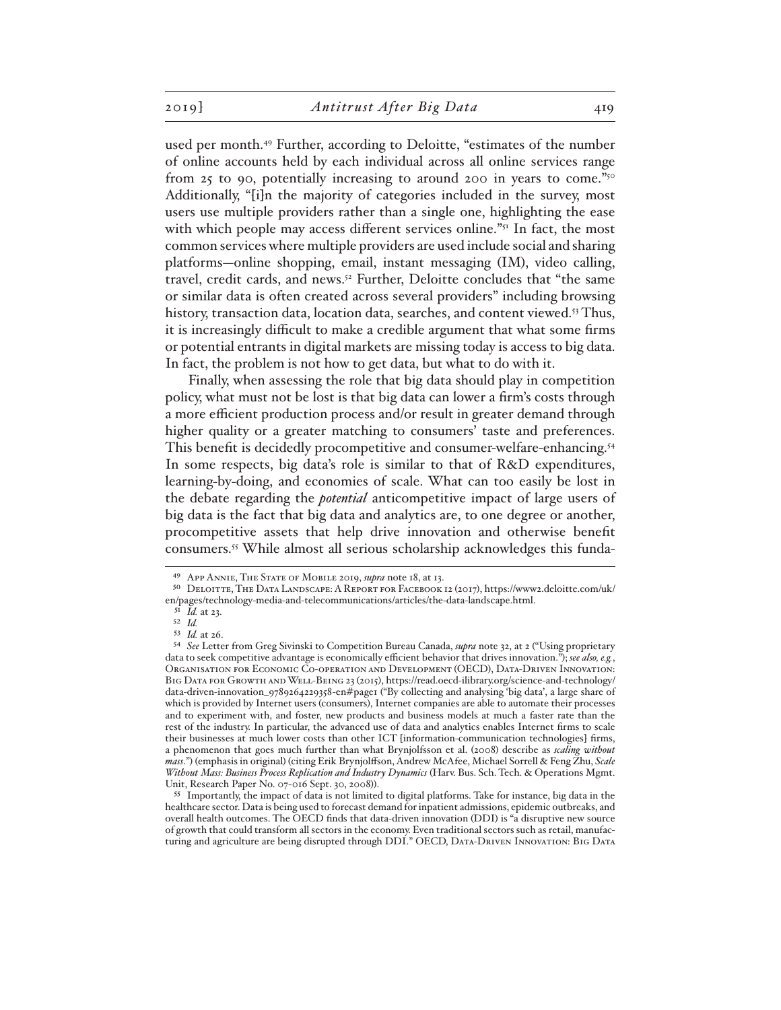used per month.49 Further, according to Deloitte, "estimates of the number of online accounts held by each individual across all online services range from 25 to 90, potentially increasing to around 200 in years to come."<sup>50</sup> Additionally, "[i]n the majority of categories included in the survey, most users use multiple providers rather than a single one, highlighting the ease with which people may access different services online."<sup>51</sup> In fact, the most common services where multiple providers are used include social and sharing platforms—online shopping, email, instant messaging (IM), video calling, travel, credit cards, and news.<sup>52</sup> Further, Deloitte concludes that "the same or similar data is often created across several providers" including browsing history, transaction data, location data, searches, and content viewed.<sup>53</sup> Thus, it is increasingly difficult to make a credible argument that what some firms or potential entrants in digital markets are missing today is access to big data. In fact, the problem is not how to get data, but what to do with it.

Finally, when assessing the role that big data should play in competition policy, what must not be lost is that big data can lower a firm's costs through a more efficient production process and/or result in greater demand through higher quality or a greater matching to consumers' taste and preferences. This benefit is decidedly procompetitive and consumer-welfare-enhancing.<sup>54</sup> In some respects, big data's role is similar to that of R&D expenditures, learning-by-doing, and economies of scale. What can too easily be lost in the debate regarding the *potential* anticompetitive impact of large users of big data is the fact that big data and analytics are, to one degree or another, procompetitive assets that help drive innovation and otherwise benefit consumers.55 While almost all serious scholarship acknowledges this funda-

<sup>49</sup> App Annie, The State of Mobile 2019, *supra* note 18, at 13.

<sup>50</sup> Deloitte, The Data Landscape: A Report for Facebook 12 (2017), https://www2.deloitte.com/uk/ en/pages/technology-media-and-telecommunications/articles/the-data-landscape.html.

<sup>51</sup> *Id.* at 23.

<sup>52</sup> *Id.*

<sup>53</sup> *Id.* at 26.

<sup>54</sup> *See* Letter from Greg Sivinski to Competition Bureau Canada, *supra* note 32, at 2 ("Using proprietary data to seek competitive advantage is economically efficient behavior that drives innovation."); *see also, e.g.*, Organisation for Economic Co-operation and Development (OECD), Data-Driven Innovation: Big Data for Growth and Well-Being 23 (2015), https://read.oecd-ilibrary.org/science-and-technology/ data-driven-innovation\_9789264229358-en#page1 ("By collecting and analysing 'big data', a large share of which is provided by Internet users (consumers), Internet companies are able to automate their processes and to experiment with, and foster, new products and business models at much a faster rate than the rest of the industry. In particular, the advanced use of data and analytics enables Internet firms to scale their businesses at much lower costs than other ICT [information-communication technologies] firms, a phenomenon that goes much further than what Brynjolfsson et al. (2008) describe as *scaling without mass*.") (emphasis in original) (citing Erik Brynjolffson, Andrew McAfee, Michael Sorrell & Feng Zhu, *Scale Without Mass: Business Process Replication and Industry Dynamics* (Harv. Bus. Sch. Tech. & Operations Mgmt. Unit, Research Paper No. 07-016 Sept. 30, 2008)).

<sup>55</sup> Importantly, the impact of data is not limited to digital platforms. Take for instance, big data in the healthcare sector. Data is being used to forecast demand for inpatient admissions, epidemic outbreaks, and overall health outcomes. The OECD finds that data-driven innovation (DDI) is "a disruptive new source of growth that could transform all sectors in the economy. Even traditional sectors such as retail, manufacturing and agriculture are being disrupted through DDI." OECD, Data-Driven Innovation: Big Data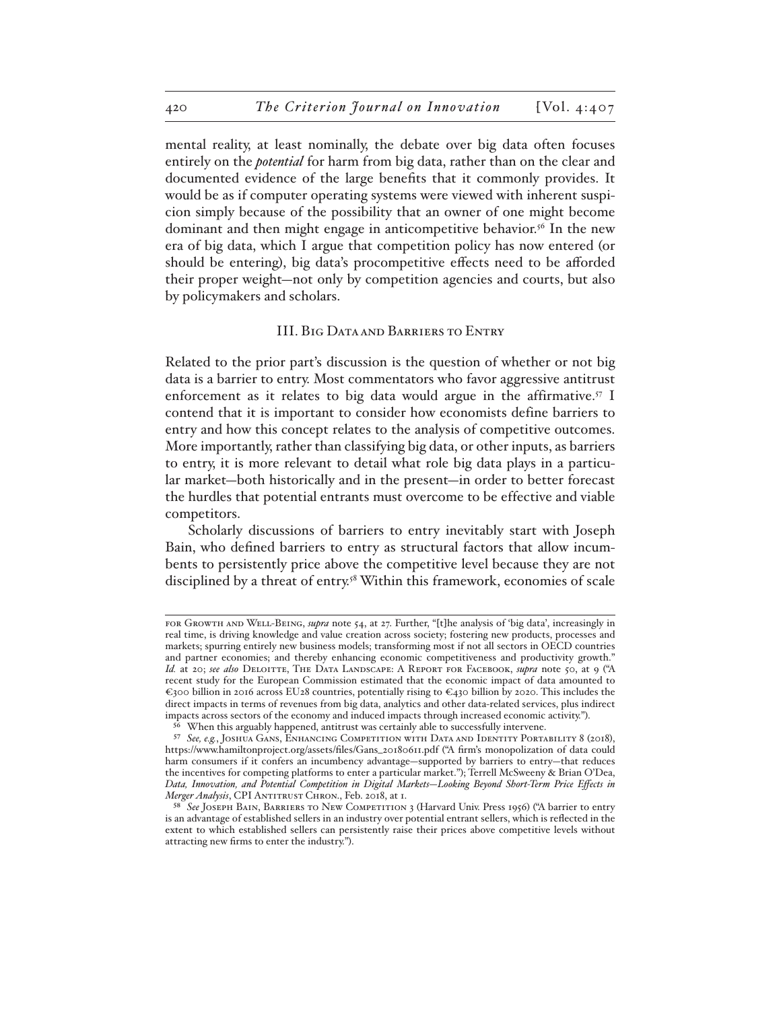mental reality, at least nominally, the debate over big data often focuses entirely on the *potential* for harm from big data, rather than on the clear and documented evidence of the large benefits that it commonly provides. It would be as if computer operating systems were viewed with inherent suspicion simply because of the possibility that an owner of one might become dominant and then might engage in anticompetitive behavior.56 In the new era of big data, which I argue that competition policy has now entered (or should be entering), big data's procompetitive effects need to be afforded their proper weight—not only by competition agencies and courts, but also by policymakers and scholars.

### III. Big Data and Barriers to Entry

Related to the prior part's discussion is the question of whether or not big data is a barrier to entry. Most commentators who favor aggressive antitrust enforcement as it relates to big data would argue in the affirmative.<sup>57</sup> I contend that it is important to consider how economists define barriers to entry and how this concept relates to the analysis of competitive outcomes. More importantly, rather than classifying big data, or other inputs, as barriers to entry, it is more relevant to detail what role big data plays in a particular market—both historically and in the present—in order to better forecast the hurdles that potential entrants must overcome to be effective and viable competitors.

Scholarly discussions of barriers to entry inevitably start with Joseph Bain, who defined barriers to entry as structural factors that allow incumbents to persistently price above the competitive level because they are not disciplined by a threat of entry.<sup>58</sup> Within this framework, economies of scale

for Growth and Well-Being, *supra* note 54, at 27. Further, "[t]he analysis of 'big data', increasingly in real time, is driving knowledge and value creation across society; fostering new products, processes and markets; spurring entirely new business models; transforming most if not all sectors in OECD countries and partner economies; and thereby enhancing economic competitiveness and productivity growth." *Id.* at 20; *see also* Deloitte, The Data Landscape: A Report for Facebook, *supra* note 50, at 9 ("A recent study for the European Commission estimated that the economic impact of data amounted to €300 billion in 2016 across EU28 countries, potentially rising to €430 billion by 2020. This includes the direct impacts in terms of revenues from big data, analytics and other data-related services, plus indirect impacts across sectors of the economy and induced impacts through increased economic activity.").

<sup>56</sup> When this arguably happened, antitrust was certainly able to successfully intervene.

<sup>57</sup> *See, e.g.*, Joshua Gans, Enhancing Competition with Data and Identity Portability 8 (2018), https://www.hamiltonproject.org/assets/files/Gans\_20180611.pdf ("A firm's monopolization of data could harm consumers if it confers an incumbency advantage—supported by barriers to entry—that reduces the incentives for competing platforms to enter a particular market."); Terrell McSweeny & Brian O'Dea, *Data, Innovation, and Potential Competition in Digital Markets—Looking Beyond Short-Term Price Effects in Merger Analysis*, CPI ANTITRUST CHRON., Feb. 2018, at 1.

<sup>58</sup> See JOSEPH BAIN, BARRIERS TO NEW COMPETITION 3 (Harvard Univ. Press 1956) ("A barrier to entry is an advantage of established sellers in an industry over potential entrant sellers, which is reflected in the extent to which established sellers can persistently raise their prices above competitive levels without attracting new firms to enter the industry.").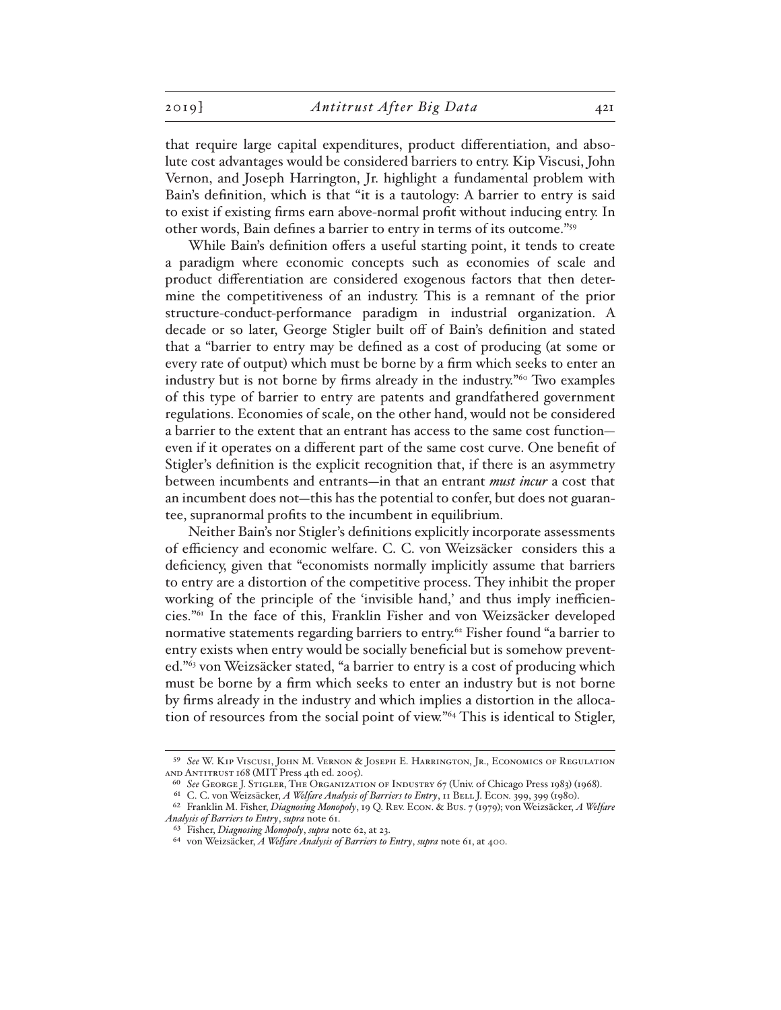that require large capital expenditures, product differentiation, and absolute cost advantages would be considered barriers to entry. Kip Viscusi, John Vernon, and Joseph Harrington, Jr. highlight a fundamental problem with Bain's definition, which is that "it is a tautology: A barrier to entry is said to exist if existing firms earn above-normal profit without inducing entry. In other words, Bain defines a barrier to entry in terms of its outcome."59

While Bain's definition offers a useful starting point, it tends to create a paradigm where economic concepts such as economies of scale and product differentiation are considered exogenous factors that then determine the competitiveness of an industry. This is a remnant of the prior structure-conduct-performance paradigm in industrial organization. A decade or so later, George Stigler built off of Bain's definition and stated that a "barrier to entry may be defined as a cost of producing (at some or every rate of output) which must be borne by a firm which seeks to enter an industry but is not borne by firms already in the industry."60 Two examples of this type of barrier to entry are patents and grandfathered government regulations. Economies of scale, on the other hand, would not be considered a barrier to the extent that an entrant has access to the same cost function even if it operates on a different part of the same cost curve. One benefit of Stigler's definition is the explicit recognition that, if there is an asymmetry between incumbents and entrants—in that an entrant *must incur* a cost that an incumbent does not—this has the potential to confer, but does not guarantee, supranormal profits to the incumbent in equilibrium.

Neither Bain's nor Stigler's definitions explicitly incorporate assessments of efficiency and economic welfare. C. C. von Weizsäcker considers this a deficiency, given that "economists normally implicitly assume that barriers to entry are a distortion of the competitive process. They inhibit the proper working of the principle of the 'invisible hand,' and thus imply inefficiencies."61 In the face of this, Franklin Fisher and von Weizsäcker developed normative statements regarding barriers to entry.<sup>62</sup> Fisher found "a barrier to entry exists when entry would be socially beneficial but is somehow prevented."63 von Weizsäcker stated, "a barrier to entry is a cost of producing which must be borne by a firm which seeks to enter an industry but is not borne by firms already in the industry and which implies a distortion in the allocation of resources from the social point of view."64 This is identical to Stigler,

<sup>59</sup> *See* W. Kip Viscusi, John M. Vernon & Joseph E. Harrington, Jr., Economics of Regulation and Antitrust 168 (MIT Press 4th ed. 2005).

<sup>60</sup> *See* George J. Stigler, The Organization of Industry 67 (Univ. of Chicago Press 1983) (1968).

<sup>&</sup>lt;sup>61</sup> C. C. von Weizsäcker, *A Welfare Analysis of Barriers to Entry*, 11 BELL J. ECON. 399, 399 (1980).

<sup>62</sup> Franklin M. Fisher, *Diagnosing Monopoly*, 19 Q. Rev. Econ. & Bus. 7 (1979); von Weizsäcker, *A Welfare Analysis of Barriers to Entry*, *supra* note 61.

<sup>63</sup> Fisher, *Diagnosing Monopoly*, *supra* note 62, at 23.

<sup>64</sup> von Weizsäcker, *A Welfare Analysis of Barriers to Entry*, *supra* note 61, at 400.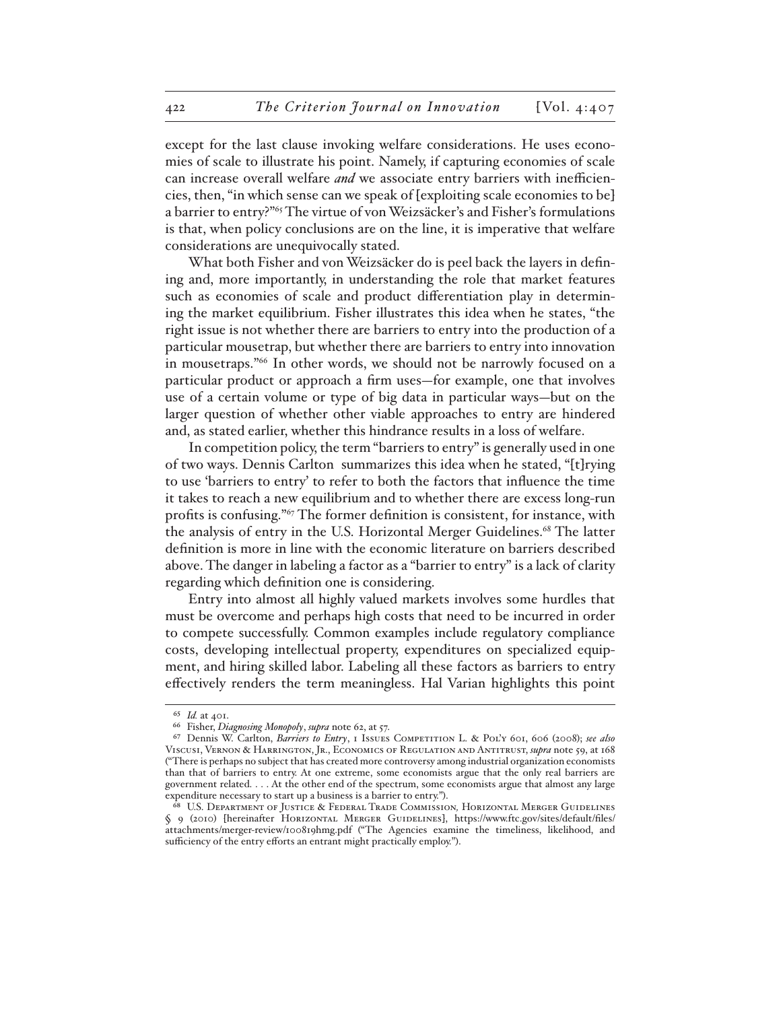except for the last clause invoking welfare considerations. He uses economies of scale to illustrate his point. Namely, if capturing economies of scale can increase overall welfare *and* we associate entry barriers with inefficiencies, then, "in which sense can we speak of [exploiting scale economies to be] a barrier to entry?"65 The virtue of von Weizsäcker's and Fisher's formulations is that, when policy conclusions are on the line, it is imperative that welfare considerations are unequivocally stated.

What both Fisher and von Weizsäcker do is peel back the layers in defining and, more importantly, in understanding the role that market features such as economies of scale and product differentiation play in determining the market equilibrium. Fisher illustrates this idea when he states, "the right issue is not whether there are barriers to entry into the production of a particular mousetrap, but whether there are barriers to entry into innovation in mousetraps."66 In other words, we should not be narrowly focused on a particular product or approach a firm uses—for example, one that involves use of a certain volume or type of big data in particular ways—but on the larger question of whether other viable approaches to entry are hindered and, as stated earlier, whether this hindrance results in a loss of welfare.

In competition policy, the term "barriers to entry" is generally used in one of two ways. Dennis Carlton summarizes this idea when he stated, "[t]rying to use 'barriers to entry' to refer to both the factors that influence the time it takes to reach a new equilibrium and to whether there are excess long-run profits is confusing."67 The former definition is consistent, for instance, with the analysis of entry in the U.S. Horizontal Merger Guidelines.<sup>68</sup> The latter definition is more in line with the economic literature on barriers described above. The danger in labeling a factor as a "barrier to entry" is a lack of clarity regarding which definition one is considering.

Entry into almost all highly valued markets involves some hurdles that must be overcome and perhaps high costs that need to be incurred in order to compete successfully. Common examples include regulatory compliance costs, developing intellectual property, expenditures on specialized equipment, and hiring skilled labor. Labeling all these factors as barriers to entry effectively renders the term meaningless. Hal Varian highlights this point

<sup>65</sup> *Id.* at 401.

<sup>66</sup> Fisher, *Diagnosing Monopoly*, *supra* note 62, at 57.

<sup>67</sup> Dennis W. Carlton, *Barriers to Entry*, 1 Issues Competition L. & Pol'y 601, 606 (2008); *see also* Viscusi, Vernon & Harrington, Jr., Economics of Regulation and Antitrust, *supra* note 59, at 168 ("There is perhaps no subject that has created more controversy among industrial organization economists than that of barriers to entry. At one extreme, some economists argue that the only real barriers are government related. . . . At the other end of the spectrum, some economists argue that almost any large expenditure necessary to start up a business is a barrier to entry.").

<sup>68</sup> U.S. Department of Justice & Federal Trade Commission*,* Horizontal Merger Guidelines § 9 (2010) [hereinafter Horizontal Merger Guidelines], https://www.ftc.gov/sites/default/files/ attachments/merger-review/100819hmg.pdf ("The Agencies examine the timeliness, likelihood, and sufficiency of the entry efforts an entrant might practically employ.").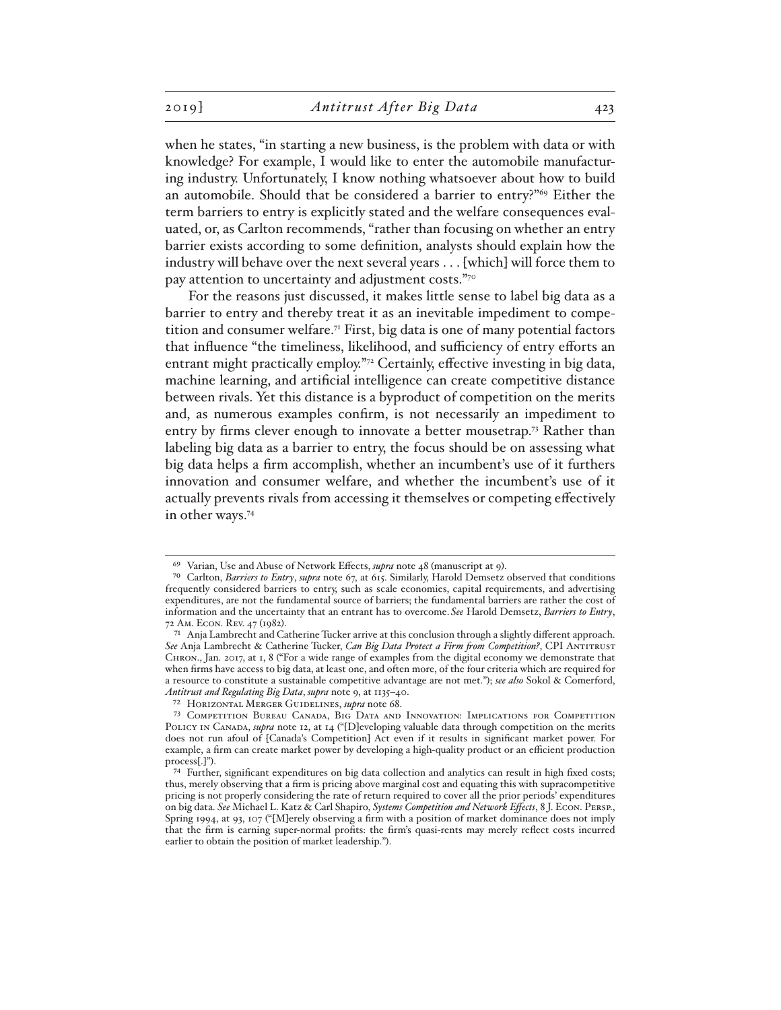when he states, "in starting a new business, is the problem with data or with knowledge? For example, I would like to enter the automobile manufacturing industry. Unfortunately, I know nothing whatsoever about how to build an automobile. Should that be considered a barrier to entry?"69 Either the term barriers to entry is explicitly stated and the welfare consequences evaluated, or, as Carlton recommends, "rather than focusing on whether an entry barrier exists according to some definition, analysts should explain how the industry will behave over the next several years . . . [which] will force them to pay attention to uncertainty and adjustment costs."70

For the reasons just discussed, it makes little sense to label big data as a barrier to entry and thereby treat it as an inevitable impediment to competition and consumer welfare.<sup>71</sup> First, big data is one of many potential factors that influence "the timeliness, likelihood, and sufficiency of entry efforts an entrant might practically employ."72 Certainly, effective investing in big data, machine learning, and artificial intelligence can create competitive distance between rivals. Yet this distance is a byproduct of competition on the merits and, as numerous examples confirm, is not necessarily an impediment to entry by firms clever enough to innovate a better mousetrap.<sup>73</sup> Rather than labeling big data as a barrier to entry, the focus should be on assessing what big data helps a firm accomplish, whether an incumbent's use of it furthers innovation and consumer welfare, and whether the incumbent's use of it actually prevents rivals from accessing it themselves or competing effectively in other ways.74

72 Horizontal Merger Guidelines, *supra* note 68.

<sup>69</sup> Varian, Use and Abuse of Network Effects, *supra* note 48 (manuscript at 9).

<sup>70</sup> Carlton, *Barriers to Entry*, *supra* note 67, at 615. Similarly, Harold Demsetz observed that conditions frequently considered barriers to entry, such as scale economies, capital requirements, and advertising expenditures, are not the fundamental source of barriers; the fundamental barriers are rather the cost of information and the uncertainty that an entrant has to overcome. *See* Harold Demsetz, *Barriers to Entry*, 72 Am. Econ. Rev. 47 (1982).

 $^{71}\,$  Anja Lambrecht and Catherine Tucker arrive at this conclusion through a slightly different approach. *See* Anja Lambrecht & Catherine Tucker, *Can Big Data Protect a Firm from Competition?*, CPI Antitrust Chron., Jan. 2017, at 1, 8 ("For a wide range of examples from the digital economy we demonstrate that when firms have access to big data, at least one, and often more, of the four criteria which are required for a resource to constitute a sustainable competitive advantage are not met."); *see also* Sokol & Comerford, *Antitrust and Regulating Big Data*, *supra* note 9, at 1135–40.

<sup>73</sup> Competition Bureau Canada, Big Data and Innovation: Implications for Competition POLICY IN CANADA, *supra* note 12, at 14 ("[D]eveloping valuable data through competition on the merits does not run afoul of [Canada's Competition] Act even if it results in significant market power. For example, a firm can create market power by developing a high-quality product or an efficient production process[.]").

<sup>74</sup> Further, significant expenditures on big data collection and analytics can result in high fixed costs; thus, merely observing that a firm is pricing above marginal cost and equating this with supracompetitive pricing is not properly considering the rate of return required to cover all the prior periods' expenditures on big data. *See* Michael L. Katz & Carl Shapiro, *Systems Competition and Network Effects*, 8 J. Econ. Persp., Spring 1994, at 93, 107 ("[M]erely observing a firm with a position of market dominance does not imply that the firm is earning super-normal profits: the firm's quasi-rents may merely reflect costs incurred earlier to obtain the position of market leadership.").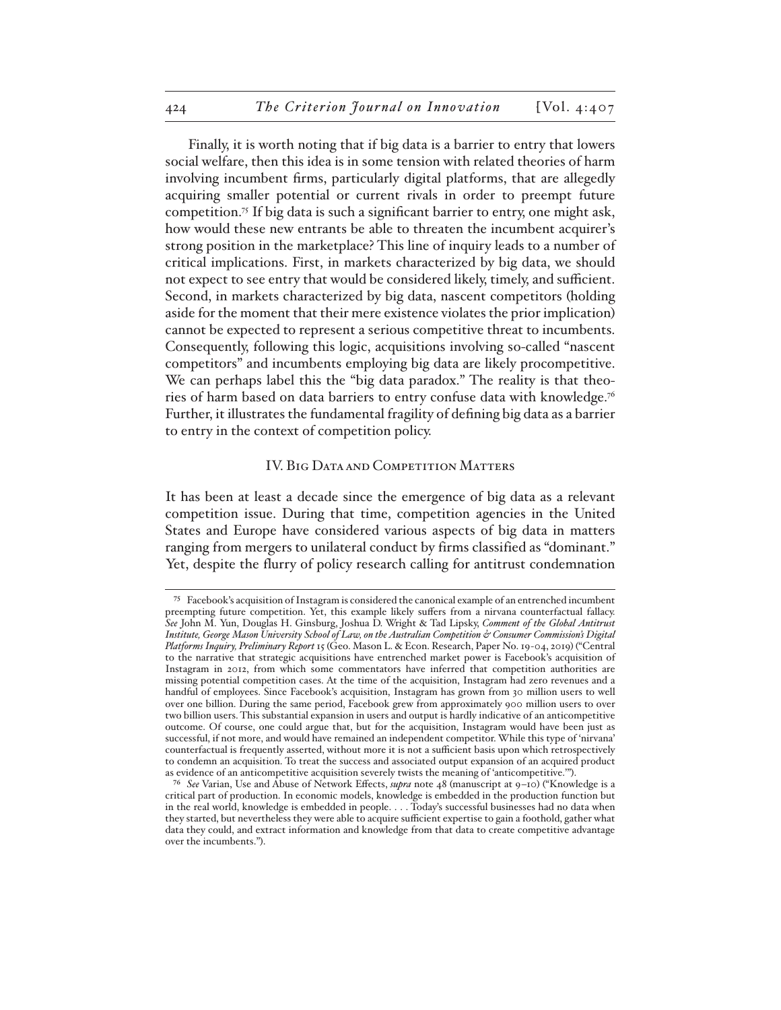Finally, it is worth noting that if big data is a barrier to entry that lowers social welfare, then this idea is in some tension with related theories of harm involving incumbent firms, particularly digital platforms, that are allegedly acquiring smaller potential or current rivals in order to preempt future competition.75 If big data is such a significant barrier to entry, one might ask, how would these new entrants be able to threaten the incumbent acquirer's strong position in the marketplace? This line of inquiry leads to a number of critical implications. First, in markets characterized by big data, we should not expect to see entry that would be considered likely, timely, and sufficient. Second, in markets characterized by big data, nascent competitors (holding aside for the moment that their mere existence violates the prior implication) cannot be expected to represent a serious competitive threat to incumbents. Consequently, following this logic, acquisitions involving so-called "nascent competitors" and incumbents employing big data are likely procompetitive. We can perhaps label this the "big data paradox." The reality is that theories of harm based on data barriers to entry confuse data with knowledge.76 Further, it illustrates the fundamental fragility of defining big data as a barrier to entry in the context of competition policy.

### IV. BIG DATA AND COMPETITION MATTERS

It has been at least a decade since the emergence of big data as a relevant competition issue. During that time, competition agencies in the United States and Europe have considered various aspects of big data in matters ranging from mergers to unilateral conduct by firms classified as "dominant." Yet, despite the flurry of policy research calling for antitrust condemnation

<sup>75</sup> Facebook's acquisition of Instagram is considered the canonical example of an entrenched incumbent preempting future competition. Yet, this example likely suffers from a nirvana counterfactual fallacy. *See* John M. Yun, Douglas H. Ginsburg, Joshua D. Wright & Tad Lipsky, *Comment of the Global Antitrust Institute, George Mason University School of Law, on the Australian Competition & Consumer Commission's Digital Platforms Inquiry, Preliminary Report* 15 (Geo. Mason L. & Econ. Research, Paper No. 19-04, 2019) ("Central to the narrative that strategic acquisitions have entrenched market power is Facebook's acquisition of Instagram in 2012, from which some commentators have inferred that competition authorities are missing potential competition cases. At the time of the acquisition, Instagram had zero revenues and a handful of employees. Since Facebook's acquisition, Instagram has grown from 30 million users to well over one billion. During the same period, Facebook grew from approximately 900 million users to over two billion users. This substantial expansion in users and output is hardly indicative of an anticompetitive outcome. Of course, one could argue that, but for the acquisition, Instagram would have been just as successful, if not more, and would have remained an independent competitor. While this type of 'nirvana' counterfactual is frequently asserted, without more it is not a sufficient basis upon which retrospectively to condemn an acquisition. To treat the success and associated output expansion of an acquired product as evidence of an anticompetitive acquisition severely twists the meaning of 'anticompetitive.'").

<sup>76</sup> *See* Varian, Use and Abuse of Network Effects, *supra* note 48 (manuscript at 9–10) ("Knowledge is a critical part of production. In economic models, knowledge is embedded in the production function but in the real world, knowledge is embedded in people. . . . Today's successful businesses had no data when they started, but nevertheless they were able to acquire sufficient expertise to gain a foothold, gather what data they could, and extract information and knowledge from that data to create competitive advantage over the incumbents.").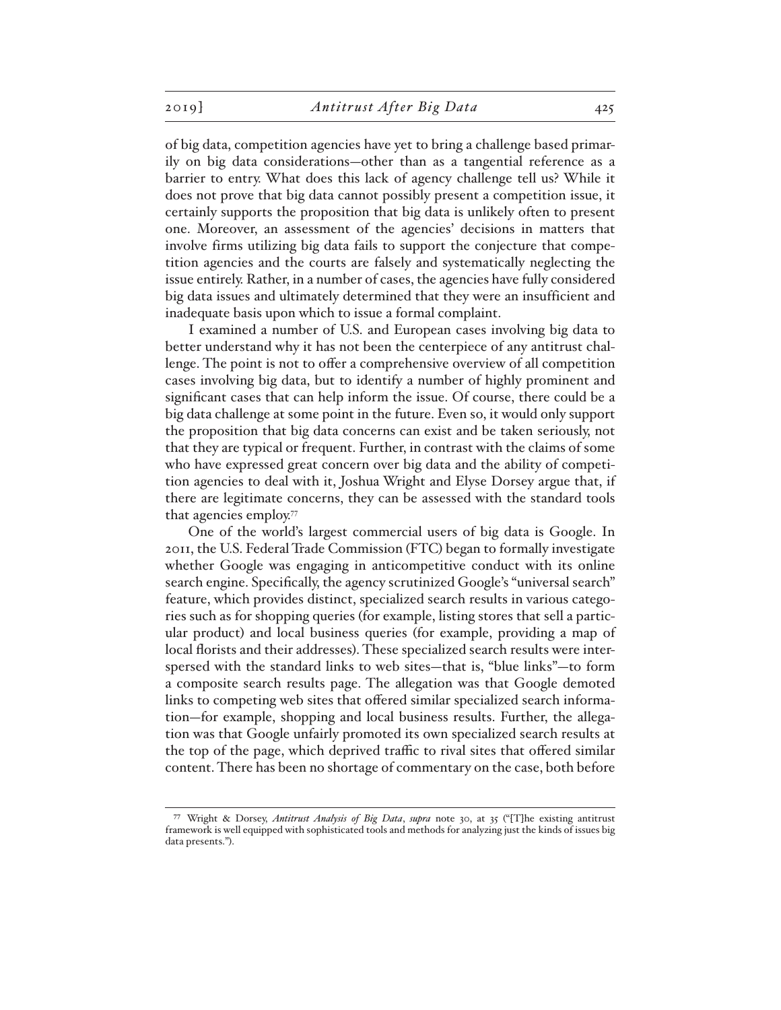of big data, competition agencies have yet to bring a challenge based primarily on big data considerations—other than as a tangential reference as a barrier to entry. What does this lack of agency challenge tell us? While it does not prove that big data cannot possibly present a competition issue, it certainly supports the proposition that big data is unlikely often to present one. Moreover, an assessment of the agencies' decisions in matters that involve firms utilizing big data fails to support the conjecture that competition agencies and the courts are falsely and systematically neglecting the issue entirely. Rather, in a number of cases, the agencies have fully considered big data issues and ultimately determined that they were an insufficient and inadequate basis upon which to issue a formal complaint.

I examined a number of U.S. and European cases involving big data to better understand why it has not been the centerpiece of any antitrust challenge. The point is not to offer a comprehensive overview of all competition cases involving big data, but to identify a number of highly prominent and significant cases that can help inform the issue. Of course, there could be a big data challenge at some point in the future. Even so, it would only support the proposition that big data concerns can exist and be taken seriously, not that they are typical or frequent. Further, in contrast with the claims of some who have expressed great concern over big data and the ability of competition agencies to deal with it, Joshua Wright and Elyse Dorsey argue that, if there are legitimate concerns, they can be assessed with the standard tools that agencies employ.77

One of the world's largest commercial users of big data is Google. In 2011, the U.S. Federal Trade Commission (FTC) began to formally investigate whether Google was engaging in anticompetitive conduct with its online search engine. Specifically, the agency scrutinized Google's "universal search" feature, which provides distinct, specialized search results in various categories such as for shopping queries (for example, listing stores that sell a particular product) and local business queries (for example, providing a map of local florists and their addresses). These specialized search results were interspersed with the standard links to web sites—that is, "blue links"—to form a composite search results page. The allegation was that Google demoted links to competing web sites that offered similar specialized search information—for example, shopping and local business results. Further, the allegation was that Google unfairly promoted its own specialized search results at the top of the page, which deprived traffic to rival sites that offered similar content. There has been no shortage of commentary on the case, both before

<sup>77</sup> Wright & Dorsey, *Antitrust Analysis of Big Data*, *supra* note 30, at 35 ("[T]he existing antitrust framework is well equipped with sophisticated tools and methods for analyzing just the kinds of issues big data presents.").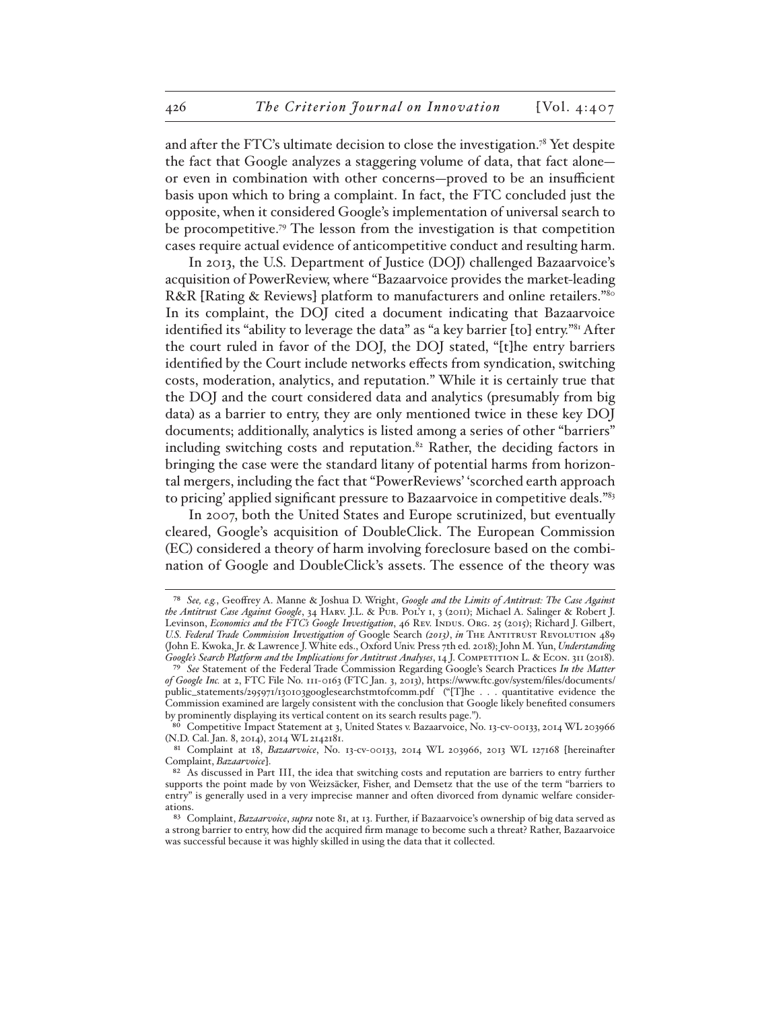and after the FTC's ultimate decision to close the investigation.78 Yet despite the fact that Google analyzes a staggering volume of data, that fact alone or even in combination with other concerns—proved to be an insufficient basis upon which to bring a complaint. In fact, the FTC concluded just the opposite, when it considered Google's implementation of universal search to be procompetitive.79 The lesson from the investigation is that competition cases require actual evidence of anticompetitive conduct and resulting harm.

In 2013, the U.S. Department of Justice (DOJ) challenged Bazaarvoice's acquisition of PowerReview, where "Bazaarvoice provides the market-leading R&R [Rating & Reviews] platform to manufacturers and online retailers.<sup>780</sup> In its complaint, the DOJ cited a document indicating that Bazaarvoice identified its "ability to leverage the data" as "a key barrier [to] entry."81 After the court ruled in favor of the DOJ, the DOJ stated, "[t]he entry barriers identified by the Court include networks effects from syndication, switching costs, moderation, analytics, and reputation." While it is certainly true that the DOJ and the court considered data and analytics (presumably from big data) as a barrier to entry, they are only mentioned twice in these key DOJ documents; additionally, analytics is listed among a series of other "barriers" including switching costs and reputation.<sup>82</sup> Rather, the deciding factors in bringing the case were the standard litany of potential harms from horizontal mergers, including the fact that "PowerReviews' 'scorched earth approach to pricing' applied significant pressure to Bazaarvoice in competitive deals."<sup>83</sup>

In 2007, both the United States and Europe scrutinized, but eventually cleared, Google's acquisition of DoubleClick. The European Commission (EC) considered a theory of harm involving foreclosure based on the combination of Google and DoubleClick's assets. The essence of the theory was

<sup>78</sup> *See, e.g.*, Geoffrey A. Manne & Joshua D. Wright, *Google and the Limits of Antitrust: The Case Against the Antitrust Case Against Google*, 34 Harv. J.L. & Pub. Pol'y 1, 3 (2011); Michael A. Salinger & Robert J. Levinson, *Economics and the FTC's Google Investigation*, 46 Rev. INDUS. Org. 25 (2015); Richard J. Gilbert, *U.S. Federal Trade Commission Investigation of* Google Search *(2013)*, *in* The Antitrust Revolution 489 (John E. Kwoka, Jr. & Lawrence J. White eds., Oxford Univ. Press 7th ed. 2018); John M. Yun, *Understanding Google's Search Platform and the Implications for Antitrust Analyses*, 14 J. Competition L. & Econ. 311 (2018).

<sup>79</sup> *See* Statement of the Federal Trade Commission Regarding Google's Search Practices *In the Matter of Google Inc.* at 2, FTC File No. 111-0163 (FTC Jan. 3, 2013), https://www.ftc.gov/system/files/documents/ public\_statements/295971/130103googlesearchstmtofcomm.pdf ("[T]he . . . quantitative evidence the Commission examined are largely consistent with the conclusion that Google likely benefited consumers by prominently displaying its vertical content on its search results page.").

Competitive Impact Statement at 3, United States v. Bazaarvoice, No. 13-cv-00133, 2014 WL 203966 (N.D. Cal. Jan. 8, 2014), 2014 WL 2142181.

<sup>81</sup> Complaint at 18, *Bazaarvoice*, No. 13-cv-00133, 2014 WL 203966, 2013 WL 127168 [hereinafter Complaint, *Bazaarvoice*].

<sup>82</sup> As discussed in Part III, the idea that switching costs and reputation are barriers to entry further supports the point made by von Weizsäcker, Fisher, and Demsetz that the use of the term "barriers to entry" is generally used in a very imprecise manner and often divorced from dynamic welfare considerations.

<sup>83</sup> Complaint, *Bazaarvoice*, *supra* note 81, at 13. Further, if Bazaarvoice's ownership of big data served as a strong barrier to entry, how did the acquired firm manage to become such a threat? Rather, Bazaarvoice was successful because it was highly skilled in using the data that it collected.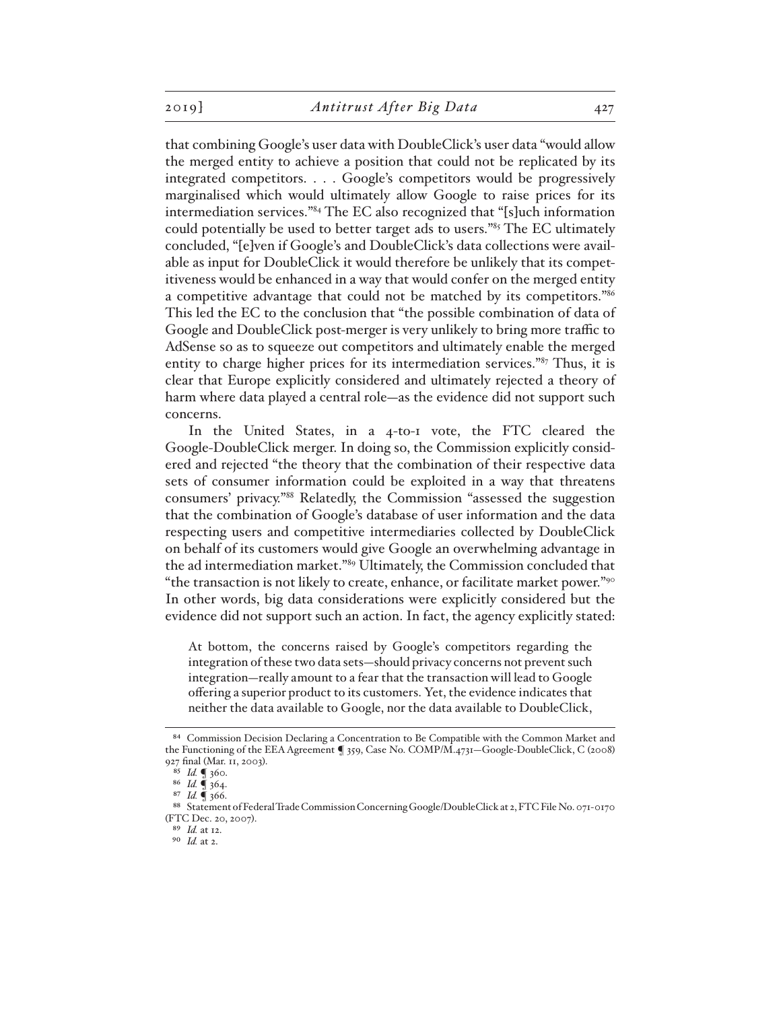that combining Google's user data with DoubleClick's user data "would allow the merged entity to achieve a position that could not be replicated by its integrated competitors. . . . Google's competitors would be progressively marginalised which would ultimately allow Google to raise prices for its intermediation services."84 The EC also recognized that "[s]uch information could potentially be used to better target ads to users."85 The EC ultimately concluded, "[e]ven if Google's and DoubleClick's data collections were available as input for DoubleClick it would therefore be unlikely that its competitiveness would be enhanced in a way that would confer on the merged entity a competitive advantage that could not be matched by its competitors."86 This led the EC to the conclusion that "the possible combination of data of Google and DoubleClick post-merger is very unlikely to bring more traffic to AdSense so as to squeeze out competitors and ultimately enable the merged entity to charge higher prices for its intermediation services."87 Thus, it is clear that Europe explicitly considered and ultimately rejected a theory of harm where data played a central role—as the evidence did not support such concerns.

In the United States, in a 4-to-1 vote, the FTC cleared the Google-DoubleClick merger. In doing so, the Commission explicitly considered and rejected "the theory that the combination of their respective data sets of consumer information could be exploited in a way that threatens consumers' privacy."88 Relatedly, the Commission "assessed the suggestion that the combination of Google's database of user information and the data respecting users and competitive intermediaries collected by DoubleClick on behalf of its customers would give Google an overwhelming advantage in the ad intermediation market."89 Ultimately, the Commission concluded that "the transaction is not likely to create, enhance, or facilitate market power."90 In other words, big data considerations were explicitly considered but the evidence did not support such an action. In fact, the agency explicitly stated:

At bottom, the concerns raised by Google's competitors regarding the integration of these two data sets—should privacy concerns not prevent such integration—really amount to a fear that the transaction will lead to Google offering a superior product to its customers. Yet, the evidence indicates that neither the data available to Google, nor the data available to DoubleClick,

<sup>84</sup> Commission Decision Declaring a Concentration to Be Compatible with the Common Market and the Functioning of the EEA Agreement ¶ 359, Case No. COMP/M.4731—Google-DoubleClick, C (2008) 927 final (Mar. 11, 2003).

<sup>85</sup> *Id.* ¶ 360.

<sup>86</sup> *Id.* ¶ 364.

<sup>87</sup> *Id.* ¶ 366.

<sup>88</sup> Statement of Federal Trade Commission Concerning Google/DoubleClick at 2, FTC File No. 071-0170 (FTC Dec. 20, 2007).

<sup>89</sup> *Id.* at 12.

<sup>90</sup> *Id.* at 2.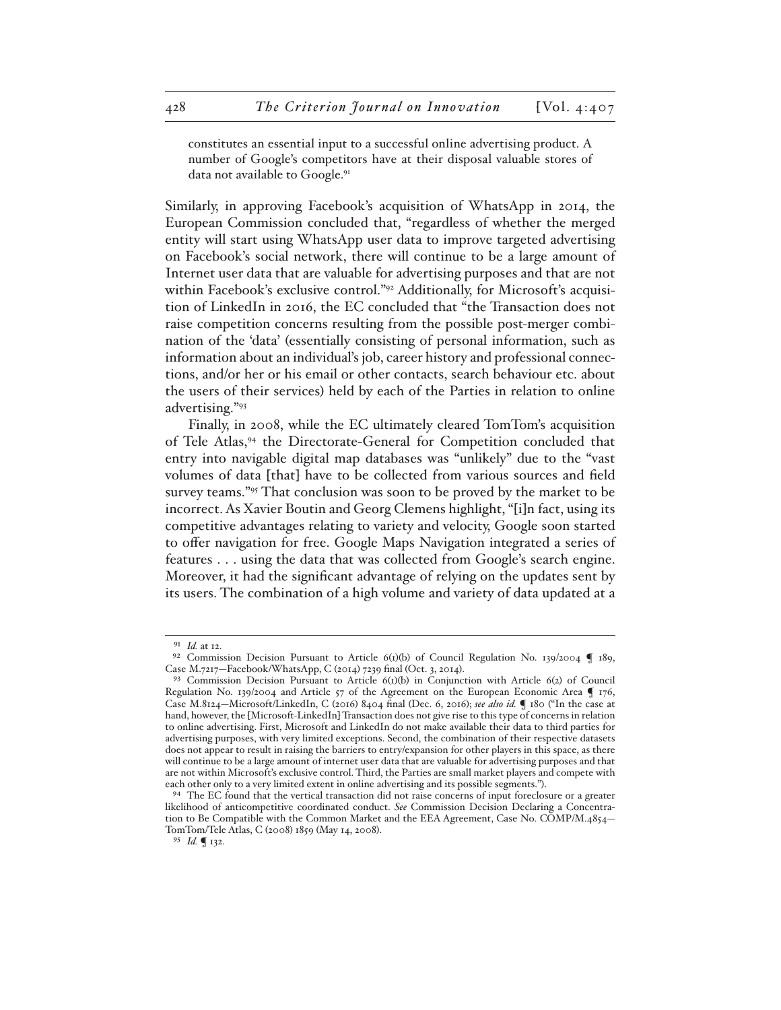constitutes an essential input to a successful online advertising product. A number of Google's competitors have at their disposal valuable stores of data not available to Google.<sup>91</sup>

Similarly, in approving Facebook's acquisition of WhatsApp in 2014, the European Commission concluded that, "regardless of whether the merged entity will start using WhatsApp user data to improve targeted advertising on Facebook's social network, there will continue to be a large amount of Internet user data that are valuable for advertising purposes and that are not within Facebook's exclusive control."<sup>92</sup> Additionally, for Microsoft's acquisition of LinkedIn in 2016, the EC concluded that "the Transaction does not raise competition concerns resulting from the possible post-merger combination of the 'data' (essentially consisting of personal information, such as information about an individual's job, career history and professional connections, and/or her or his email or other contacts, search behaviour etc. about the users of their services) held by each of the Parties in relation to online advertising."93

Finally, in 2008, while the EC ultimately cleared TomTom's acquisition of Tele Atlas,94 the Directorate-General for Competition concluded that entry into navigable digital map databases was "unlikely" due to the "vast volumes of data [that] have to be collected from various sources and field survey teams."<sup>95</sup> That conclusion was soon to be proved by the market to be incorrect. As Xavier Boutin and Georg Clemens highlight, "[i]n fact, using its competitive advantages relating to variety and velocity, Google soon started to offer navigation for free. Google Maps Navigation integrated a series of features . . . using the data that was collected from Google's search engine. Moreover, it had the significant advantage of relying on the updates sent by its users. The combination of a high volume and variety of data updated at a

95 *Id.* ¶ 132.

<sup>91</sup> *Id.* at 12.

<sup>&</sup>lt;sup>92</sup> Commission Decision Pursuant to Article  $6(t)(b)$  of Council Regulation No. 139/2004  $\blacksquare$  189, Case M.7217—Facebook/WhatsApp, C (2014) 7239 final (Oct. 3, 2014).

<sup>93</sup> Commission Decision Pursuant to Article 6(1)(b) in Conjunction with Article 6(2) of Council Regulation No. 139/2004 and Article 57 of the Agreement on the European Economic Area ¶ 176, Case M.8124—Microsoft/LinkedIn, C (2016) 8404 final (Dec. 6, 2016); *see also id.* ¶ 180 ("In the case at hand, however, the [Microsoft-LinkedIn] Transaction does not give rise to this type of concerns in relation to online advertising. First, Microsoft and LinkedIn do not make available their data to third parties for advertising purposes, with very limited exceptions. Second, the combination of their respective datasets does not appear to result in raising the barriers to entry/expansion for other players in this space, as there will continue to be a large amount of internet user data that are valuable for advertising purposes and that are not within Microsoft's exclusive control. Third, the Parties are small market players and compete with each other only to a very limited extent in online advertising and its possible segments.").

<sup>94</sup> The EC found that the vertical transaction did not raise concerns of input foreclosure or a greater likelihood of anticompetitive coordinated conduct. *See* Commission Decision Declaring a Concentration to Be Compatible with the Common Market and the EEA Agreement, Case No. COMP/M.4854– TomTom/Tele Atlas, C (2008) 1859 (May 14, 2008).